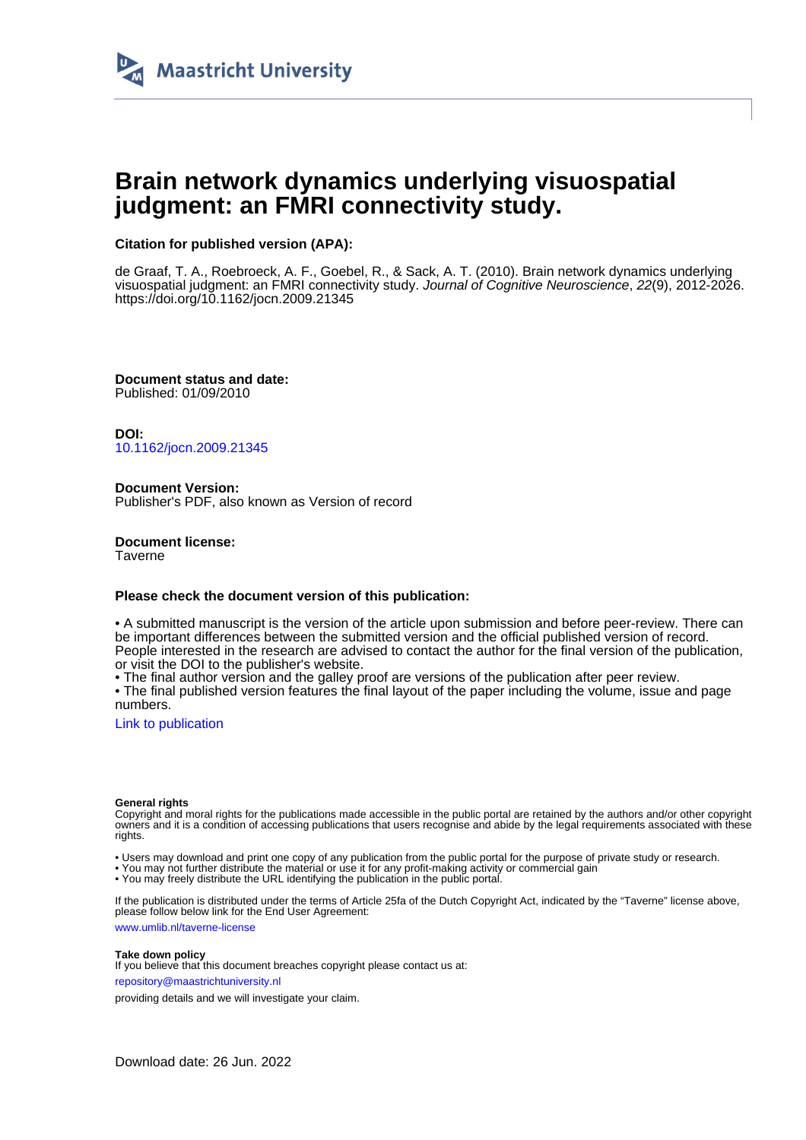

# **Brain network dynamics underlying visuospatial judgment: an FMRI connectivity study.**

## **Citation for published version (APA):**

de Graaf, T. A., Roebroeck, A. F., Goebel, R., & Sack, A. T. (2010). Brain network dynamics underlying visuospatial judgment: an FMRI connectivity study. Journal of Cognitive Neuroscience, 22(9), 2012-2026. <https://doi.org/10.1162/jocn.2009.21345>

**Document status and date:** Published: 01/09/2010

**DOI:** [10.1162/jocn.2009.21345](https://doi.org/10.1162/jocn.2009.21345)

**Document Version:** Publisher's PDF, also known as Version of record

**Document license: Taverne** 

#### **Please check the document version of this publication:**

• A submitted manuscript is the version of the article upon submission and before peer-review. There can be important differences between the submitted version and the official published version of record. People interested in the research are advised to contact the author for the final version of the publication, or visit the DOI to the publisher's website.

• The final author version and the galley proof are versions of the publication after peer review.

• The final published version features the final layout of the paper including the volume, issue and page numbers.

[Link to publication](https://cris.maastrichtuniversity.nl/en/publications/de587146-2081-4ee1-b205-6782545767f2)

#### **General rights**

Copyright and moral rights for the publications made accessible in the public portal are retained by the authors and/or other copyright owners and it is a condition of accessing publications that users recognise and abide by the legal requirements associated with these rights.

• Users may download and print one copy of any publication from the public portal for the purpose of private study or research.

• You may not further distribute the material or use it for any profit-making activity or commercial gain

• You may freely distribute the URL identifying the publication in the public portal.

If the publication is distributed under the terms of Article 25fa of the Dutch Copyright Act, indicated by the "Taverne" license above, please follow below link for the End User Agreement:

www.umlib.nl/taverne-license

#### **Take down policy**

If you believe that this document breaches copyright please contact us at: repository@maastrichtuniversity.nl

providing details and we will investigate your claim.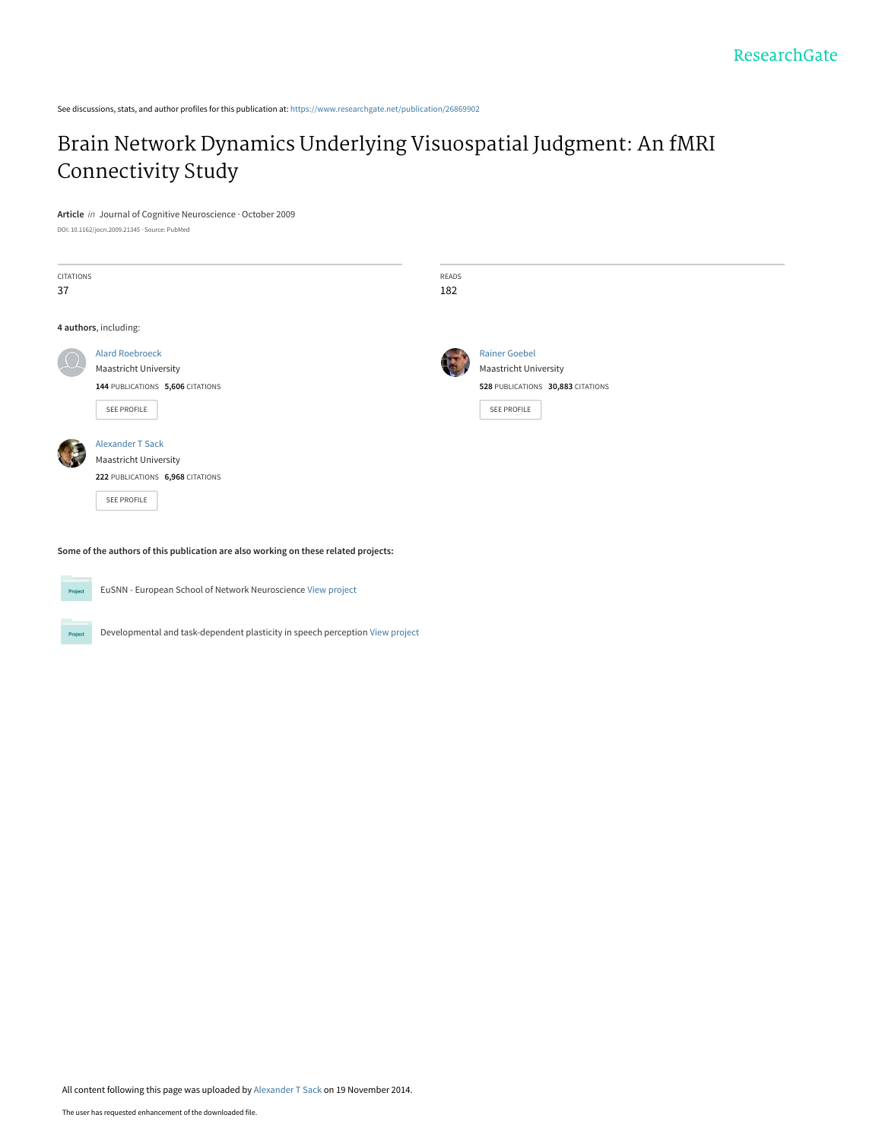See discussions, stats, and author profiles for this publication at: [https://www.researchgate.net/publication/26869902](https://www.researchgate.net/publication/26869902_Brain_Network_Dynamics_Underlying_Visuospatial_Judgment_An_fMRI_Connectivity_Study?enrichId=rgreq-93c55a09951c3a2276c030af5c659905-XXX&enrichSource=Y292ZXJQYWdlOzI2ODY5OTAyO0FTOjE2NTE5MzY2OTY4NTI1MUAxNDE2Mzk2NjQ4ODg2&el=1_x_2&_esc=publicationCoverPdf)

# [Brain Network Dynamics Underlying Visuospatial Judgment: An fMRI](https://www.researchgate.net/publication/26869902_Brain_Network_Dynamics_Underlying_Visuospatial_Judgment_An_fMRI_Connectivity_Study?enrichId=rgreq-93c55a09951c3a2276c030af5c659905-XXX&enrichSource=Y292ZXJQYWdlOzI2ODY5OTAyO0FTOjE2NTE5MzY2OTY4NTI1MUAxNDE2Mzk2NjQ4ODg2&el=1_x_3&_esc=publicationCoverPdf) Connectivity Study

**Article** in Journal of Cognitive Neuroscience · October 2009

DOI: 10.1162/jocn.2009.21345 · Source: PubMed

| CITATIONS<br>37       |                                                                                                     | READS<br>182 |                                                                                                   |
|-----------------------|-----------------------------------------------------------------------------------------------------|--------------|---------------------------------------------------------------------------------------------------|
| 4 authors, including: |                                                                                                     |              |                                                                                                   |
|                       | <b>Alard Roebroeck</b><br>Maastricht University<br>144 PUBLICATIONS 5,606 CITATIONS<br>SEE PROFILE  |              | <b>Rainer Goebel</b><br>Maastricht University<br>528 PUBLICATIONS 30,883 CITATIONS<br>SEE PROFILE |
|                       | <b>Alexander T Sack</b><br>Maastricht University<br>222 PUBLICATIONS 6,968 CITATIONS<br>SEE PROFILE |              |                                                                                                   |

**Some of the authors of this publication are also working on these related projects:**



Project

EuSNN - European School of Network Neuroscience [View project](https://www.researchgate.net/project/EuSNN-European-School-of-Network-Neuroscience?enrichId=rgreq-93c55a09951c3a2276c030af5c659905-XXX&enrichSource=Y292ZXJQYWdlOzI2ODY5OTAyO0FTOjE2NTE5MzY2OTY4NTI1MUAxNDE2Mzk2NjQ4ODg2&el=1_x_9&_esc=publicationCoverPdf)

Developmental and task-dependent plasticity in speech perception [View project](https://www.researchgate.net/project/Developmental-and-task-dependent-plasticity-in-speech-perception?enrichId=rgreq-93c55a09951c3a2276c030af5c659905-XXX&enrichSource=Y292ZXJQYWdlOzI2ODY5OTAyO0FTOjE2NTE5MzY2OTY4NTI1MUAxNDE2Mzk2NjQ4ODg2&el=1_x_9&_esc=publicationCoverPdf)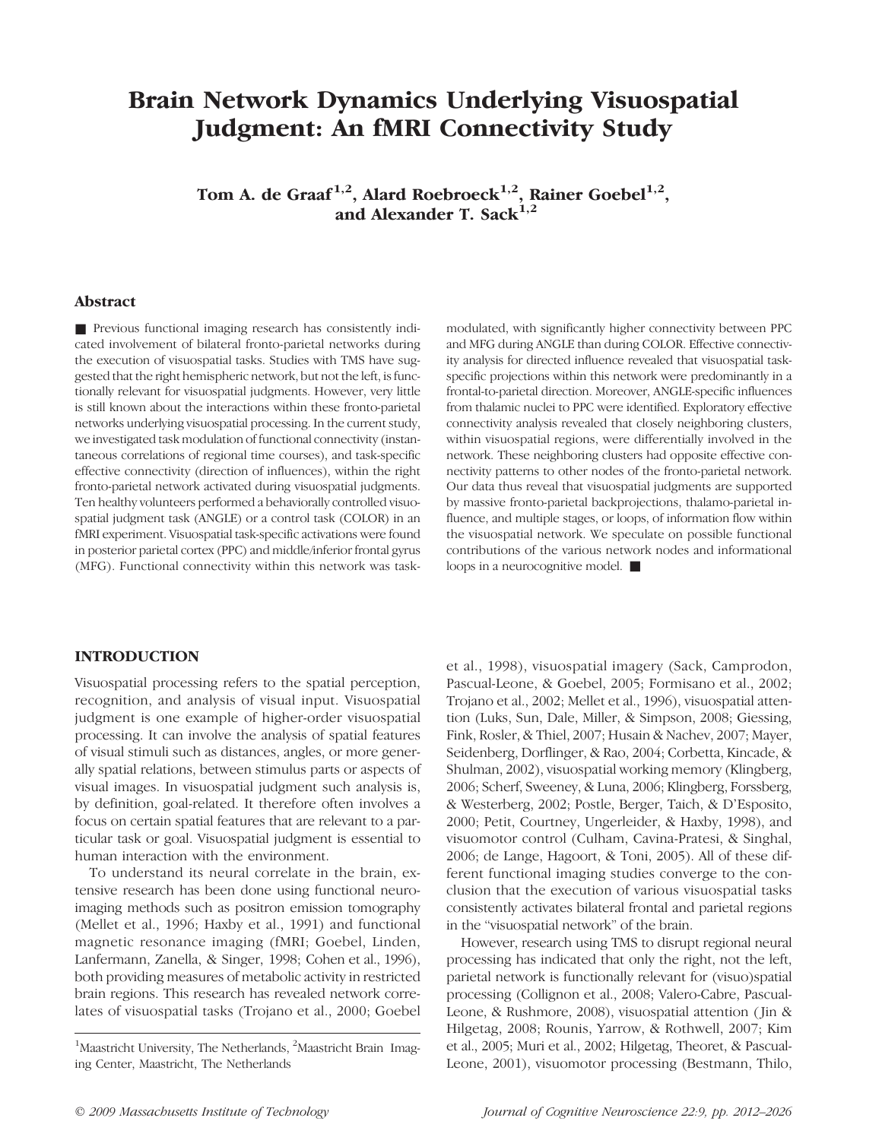# Brain Network Dynamics Underlying Visuospatial Judgment: An fMRI Connectivity Study

Tom A. de Graaf<sup>1,2</sup>, Alard Roebroeck<sup>1,2</sup>, Rainer Goebel<sup>1,2</sup>, and Alexander T. Sack $^{1,2}$ 

## Abstract

■ Previous functional imaging research has consistently indicated involvement of bilateral fronto-parietal networks during the execution of visuospatial tasks. Studies with TMS have suggested that the right hemispheric network, but not the left, is functionally relevant for visuospatial judgments. However, very little is still known about the interactions within these fronto-parietal networks underlying visuospatial processing. In the current study, we investigated task modulation of functional connectivity (instantaneous correlations of regional time courses), and task-specific effective connectivity (direction of influences), within the right fronto-parietal network activated during visuospatial judgments. Ten healthy volunteers performed a behaviorally controlled visuospatial judgment task (ANGLE) or a control task (COLOR) in an fMRI experiment. Visuospatial task-specific activations were found in posterior parietal cortex (PPC) and middle/inferior frontal gyrus (MFG). Functional connectivity within this network was taskmodulated, with significantly higher connectivity between PPC and MFG during ANGLE than during COLOR. Effective connectivity analysis for directed influence revealed that visuospatial taskspecific projections within this network were predominantly in a frontal-to-parietal direction. Moreover, ANGLE-specific influences from thalamic nuclei to PPC were identified. Exploratory effective connectivity analysis revealed that closely neighboring clusters, within visuospatial regions, were differentially involved in the network. These neighboring clusters had opposite effective connectivity patterns to other nodes of the fronto-parietal network. Our data thus reveal that visuospatial judgments are supported by massive fronto-parietal backprojections, thalamo-parietal influence, and multiple stages, or loops, of information flow within the visuospatial network. We speculate on possible functional contributions of the various network nodes and informational loops in a neurocognitive model. ■

#### INTRODUCTION

Visuospatial processing refers to the spatial perception, recognition, and analysis of visual input. Visuospatial judgment is one example of higher-order visuospatial processing. It can involve the analysis of spatial features of visual stimuli such as distances, angles, or more generally spatial relations, between stimulus parts or aspects of visual images. In visuospatial judgment such analysis is, by definition, goal-related. It therefore often involves a focus on certain spatial features that are relevant to a particular task or goal. Visuospatial judgment is essential to human interaction with the environment.

To understand its neural correlate in the brain, extensive research has been done using functional neuroimaging methods such as positron emission tomography (Mellet et al., 1996; Haxby et al., 1991) and functional magnetic resonance imaging (fMRI; Goebel, Linden, Lanfermann, Zanella, & Singer, 1998; Cohen et al., 1996), both providing measures of metabolic activity in restricted brain regions. This research has revealed network correlates of visuospatial tasks (Trojano et al., 2000; Goebel

et al., 1998), visuospatial imagery (Sack, Camprodon, Pascual-Leone, & Goebel, 2005; Formisano et al., 2002; Trojano et al., 2002; Mellet et al., 1996), visuospatial attention (Luks, Sun, Dale, Miller, & Simpson, 2008; Giessing, Fink, Rosler, & Thiel, 2007; Husain & Nachev, 2007; Mayer, Seidenberg, Dorflinger, & Rao, 2004; Corbetta, Kincade, & Shulman, 2002), visuospatial working memory (Klingberg, 2006; Scherf, Sweeney, & Luna, 2006; Klingberg, Forssberg, & Westerberg, 2002; Postle, Berger, Taich, & D'Esposito, 2000; Petit, Courtney, Ungerleider, & Haxby, 1998), and visuomotor control (Culham, Cavina-Pratesi, & Singhal, 2006; de Lange, Hagoort, & Toni, 2005). All of these different functional imaging studies converge to the conclusion that the execution of various visuospatial tasks consistently activates bilateral frontal and parietal regions in the "visuospatial network" of the brain.

However, research using TMS to disrupt regional neural processing has indicated that only the right, not the left, parietal network is functionally relevant for (visuo)spatial processing (Collignon et al., 2008; Valero-Cabre, Pascual-Leone, & Rushmore, 2008), visuospatial attention ( Jin & Hilgetag, 2008; Rounis, Yarrow, & Rothwell, 2007; Kim et al., 2005; Muri et al., 2002; Hilgetag, Theoret, & Pascual-Leone, 2001), visuomotor processing (Bestmann, Thilo,

<sup>&</sup>lt;sup>1</sup>Maastricht University, The Netherlands, <sup>2</sup>Maastricht Brain Imaging Center, Maastricht, The Netherlands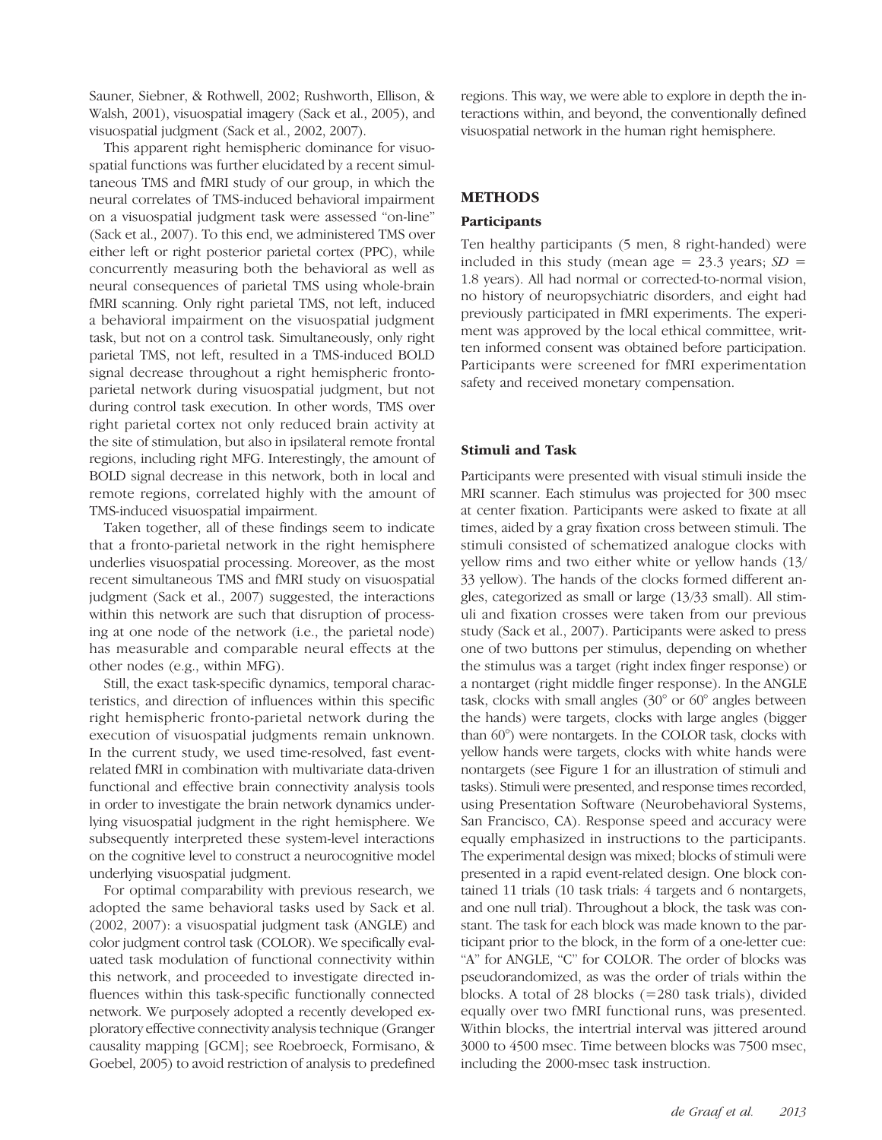Sauner, Siebner, & Rothwell, 2002; Rushworth, Ellison, & Walsh, 2001), visuospatial imagery (Sack et al., 2005), and visuospatial judgment (Sack et al., 2002, 2007).

This apparent right hemispheric dominance for visuospatial functions was further elucidated by a recent simultaneous TMS and fMRI study of our group, in which the neural correlates of TMS-induced behavioral impairment on a visuospatial judgment task were assessed "on-line" (Sack et al., 2007). To this end, we administered TMS over either left or right posterior parietal cortex (PPC), while concurrently measuring both the behavioral as well as neural consequences of parietal TMS using whole-brain fMRI scanning. Only right parietal TMS, not left, induced a behavioral impairment on the visuospatial judgment task, but not on a control task. Simultaneously, only right parietal TMS, not left, resulted in a TMS-induced BOLD signal decrease throughout a right hemispheric frontoparietal network during visuospatial judgment, but not during control task execution. In other words, TMS over right parietal cortex not only reduced brain activity at the site of stimulation, but also in ipsilateral remote frontal regions, including right MFG. Interestingly, the amount of BOLD signal decrease in this network, both in local and remote regions, correlated highly with the amount of TMS-induced visuospatial impairment.

Taken together, all of these findings seem to indicate that a fronto-parietal network in the right hemisphere underlies visuospatial processing. Moreover, as the most recent simultaneous TMS and fMRI study on visuospatial judgment (Sack et al., 2007) suggested, the interactions within this network are such that disruption of processing at one node of the network (i.e., the parietal node) has measurable and comparable neural effects at the other nodes (e.g., within MFG).

Still, the exact task-specific dynamics, temporal characteristics, and direction of influences within this specific right hemispheric fronto-parietal network during the execution of visuospatial judgments remain unknown. In the current study, we used time-resolved, fast eventrelated fMRI in combination with multivariate data-driven functional and effective brain connectivity analysis tools in order to investigate the brain network dynamics underlying visuospatial judgment in the right hemisphere. We subsequently interpreted these system-level interactions on the cognitive level to construct a neurocognitive model underlying visuospatial judgment.

For optimal comparability with previous research, we adopted the same behavioral tasks used by Sack et al. (2002, 2007): a visuospatial judgment task (ANGLE) and color judgment control task (COLOR). We specifically evaluated task modulation of functional connectivity within this network, and proceeded to investigate directed influences within this task-specific functionally connected network. We purposely adopted a recently developed exploratory effective connectivity analysis technique (Granger causality mapping [GCM]; see Roebroeck, Formisano, & Goebel, 2005) to avoid restriction of analysis to predefined

regions. This way, we were able to explore in depth the interactions within, and beyond, the conventionally defined visuospatial network in the human right hemisphere.

# METHODS

## **Participants**

Ten healthy participants (5 men, 8 right-handed) were included in this study (mean age =  $23.3$  years;  $SD =$ 1.8 years). All had normal or corrected-to-normal vision, no history of neuropsychiatric disorders, and eight had previously participated in fMRI experiments. The experiment was approved by the local ethical committee, written informed consent was obtained before participation. Participants were screened for fMRI experimentation safety and received monetary compensation.

## Stimuli and Task

Participants were presented with visual stimuli inside the MRI scanner. Each stimulus was projected for 300 msec at center fixation. Participants were asked to fixate at all times, aided by a gray fixation cross between stimuli. The stimuli consisted of schematized analogue clocks with yellow rims and two either white or yellow hands (13/ 33 yellow). The hands of the clocks formed different angles, categorized as small or large (13/33 small). All stimuli and fixation crosses were taken from our previous study (Sack et al., 2007). Participants were asked to press one of two buttons per stimulus, depending on whether the stimulus was a target (right index finger response) or a nontarget (right middle finger response). In the ANGLE task, clocks with small angles (30° or 60° angles between the hands) were targets, clocks with large angles (bigger than 60°) were nontargets. In the COLOR task, clocks with yellow hands were targets, clocks with white hands were nontargets (see Figure 1 for an illustration of stimuli and tasks). Stimuli were presented, and response times recorded, using Presentation Software (Neurobehavioral Systems, San Francisco, CA). Response speed and accuracy were equally emphasized in instructions to the participants. The experimental design was mixed; blocks of stimuli were presented in a rapid event-related design. One block contained 11 trials (10 task trials: 4 targets and 6 nontargets, and one null trial). Throughout a block, the task was constant. The task for each block was made known to the participant prior to the block, in the form of a one-letter cue: "A" for ANGLE, "C" for COLOR. The order of blocks was pseudorandomized, as was the order of trials within the blocks. A total of 28 blocks (=280 task trials), divided equally over two fMRI functional runs, was presented. Within blocks, the intertrial interval was jittered around 3000 to 4500 msec. Time between blocks was 7500 msec, including the 2000-msec task instruction.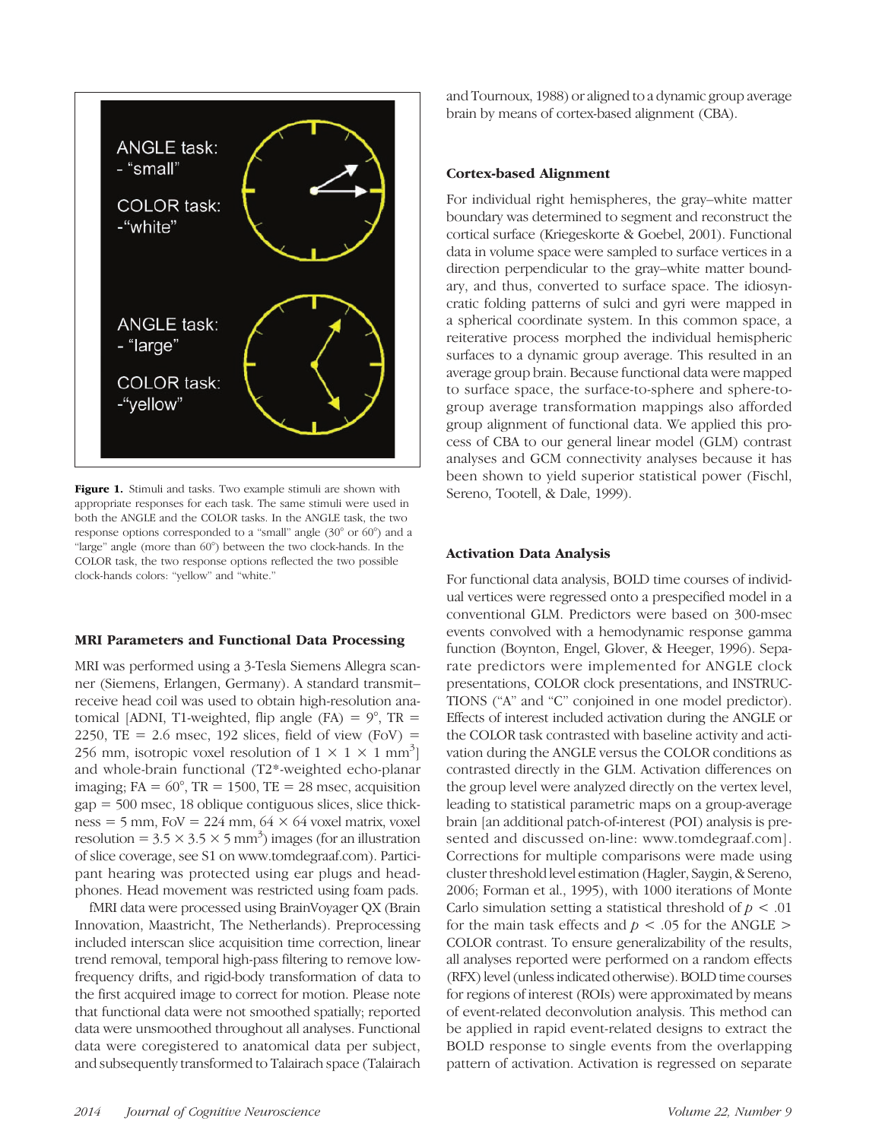

Figure 1. Stimuli and tasks. Two example stimuli are shown with appropriate responses for each task. The same stimuli were used in both the ANGLE and the COLOR tasks. In the ANGLE task, the two response options corresponded to a "small" angle (30° or 60°) and a "large" angle (more than 60°) between the two clock-hands. In the COLOR task, the two response options reflected the two possible clock-hands colors: "yellow" and "white."

#### MRI Parameters and Functional Data Processing

MRI was performed using a 3-Tesla Siemens Allegra scanner (Siemens, Erlangen, Germany). A standard transmit– receive head coil was used to obtain high-resolution anatomical [ADNI, T1-weighted, flip angle (FA) =  $9^\circ$ , TR = 2250, TE = 2.6 msec, 192 slices, field of view (FoV) = 256 mm, isotropic voxel resolution of  $1 \times 1 \times 1$  mm<sup>3</sup> and whole-brain functional (T2\*-weighted echo-planar imaging;  $FA = 60^\circ$ ,  $TR = 1500$ ,  $TE = 28$  msec, acquisition gap = 500 msec, 18 oblique contiguous slices, slice thickness = 5 mm, FoV =  $224$  mm,  $64 \times 64$  voxel matrix, voxel resolution =  $3.5 \times 3.5 \times 5$  mm<sup>3</sup>) images (for an illustration of slice coverage, see S1 on www.tomdegraaf.com). Participant hearing was protected using ear plugs and headphones. Head movement was restricted using foam pads.

fMRI data were processed using BrainVoyager QX (Brain Innovation, Maastricht, The Netherlands). Preprocessing included interscan slice acquisition time correction, linear trend removal, temporal high-pass filtering to remove lowfrequency drifts, and rigid-body transformation of data to the first acquired image to correct for motion. Please note that functional data were not smoothed spatially; reported data were unsmoothed throughout all analyses. Functional data were coregistered to anatomical data per subject, and subsequently transformed to Talairach space (Talairach

and Tournoux, 1988) or aligned to a dynamic group average brain by means of cortex-based alignment (CBA).

#### Cortex-based Alignment

For individual right hemispheres, the gray–white matter boundary was determined to segment and reconstruct the cortical surface (Kriegeskorte & Goebel, 2001). Functional data in volume space were sampled to surface vertices in a direction perpendicular to the gray–white matter boundary, and thus, converted to surface space. The idiosyncratic folding patterns of sulci and gyri were mapped in a spherical coordinate system. In this common space, a reiterative process morphed the individual hemispheric surfaces to a dynamic group average. This resulted in an average group brain. Because functional data were mapped to surface space, the surface-to-sphere and sphere-togroup average transformation mappings also afforded group alignment of functional data. We applied this process of CBA to our general linear model (GLM) contrast analyses and GCM connectivity analyses because it has been shown to yield superior statistical power (Fischl, Sereno, Tootell, & Dale, 1999).

#### Activation Data Analysis

For functional data analysis, BOLD time courses of individual vertices were regressed onto a prespecified model in a conventional GLM. Predictors were based on 300-msec events convolved with a hemodynamic response gamma function (Boynton, Engel, Glover, & Heeger, 1996). Separate predictors were implemented for ANGLE clock presentations, COLOR clock presentations, and INSTRUC-TIONS ("A" and "C" conjoined in one model predictor). Effects of interest included activation during the ANGLE or the COLOR task contrasted with baseline activity and activation during the ANGLE versus the COLOR conditions as contrasted directly in the GLM. Activation differences on the group level were analyzed directly on the vertex level, leading to statistical parametric maps on a group-average brain [an additional patch-of-interest (POI) analysis is presented and discussed on-line: www.tomdegraaf.com]. Corrections for multiple comparisons were made using cluster threshold level estimation (Hagler, Saygin, & Sereno, 2006; Forman et al., 1995), with 1000 iterations of Monte Carlo simulation setting a statistical threshold of  $p < .01$ for the main task effects and  $p < .05$  for the ANGLE > COLOR contrast. To ensure generalizability of the results, all analyses reported were performed on a random effects (RFX) level (unless indicated otherwise). BOLD time courses for regions of interest (ROIs) were approximated by means of event-related deconvolution analysis. This method can be applied in rapid event-related designs to extract the BOLD response to single events from the overlapping pattern of activation. Activation is regressed on separate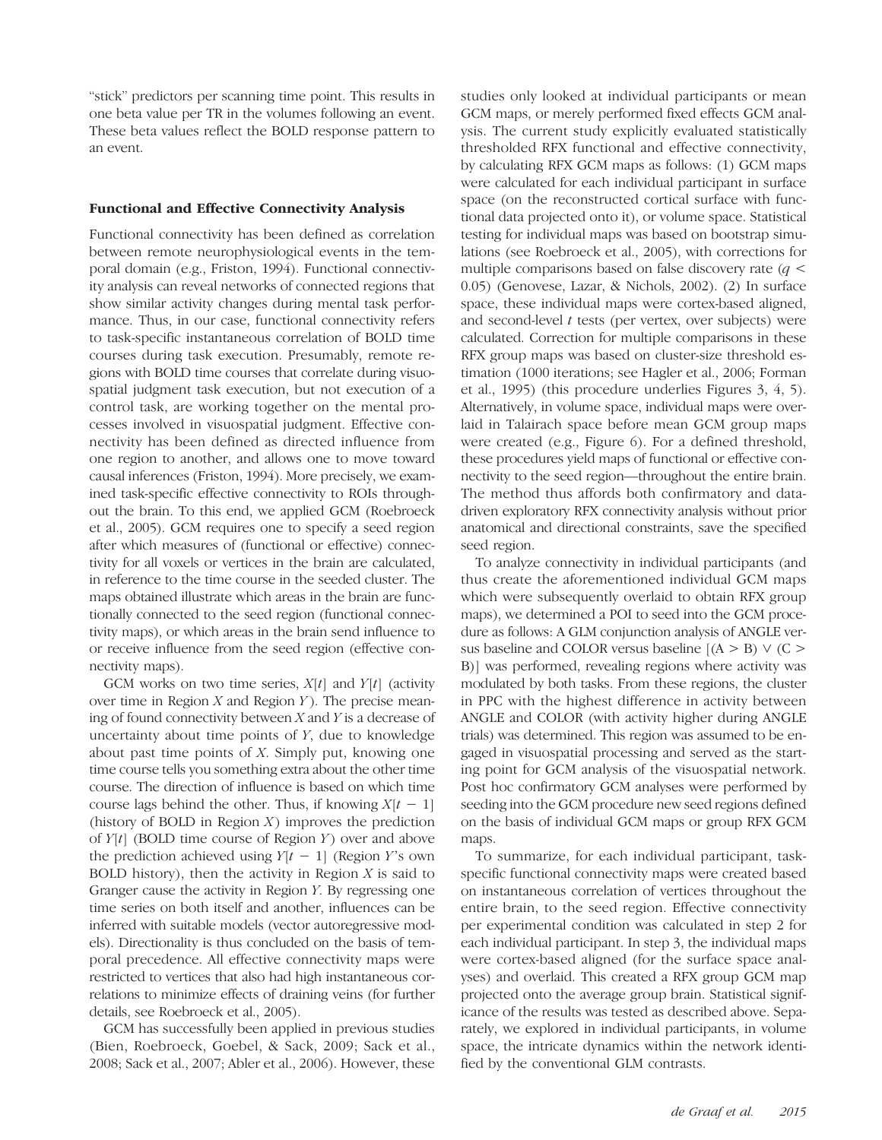"stick" predictors per scanning time point. This results in one beta value per TR in the volumes following an event. These beta values reflect the BOLD response pattern to an event.

### Functional and Effective Connectivity Analysis

Functional connectivity has been defined as correlation between remote neurophysiological events in the temporal domain (e.g., Friston, 1994). Functional connectivity analysis can reveal networks of connected regions that show similar activity changes during mental task performance. Thus, in our case, functional connectivity refers to task-specific instantaneous correlation of BOLD time courses during task execution. Presumably, remote regions with BOLD time courses that correlate during visuospatial judgment task execution, but not execution of a control task, are working together on the mental processes involved in visuospatial judgment. Effective connectivity has been defined as directed influence from one region to another, and allows one to move toward causal inferences (Friston, 1994). More precisely, we examined task-specific effective connectivity to ROIs throughout the brain. To this end, we applied GCM (Roebroeck et al., 2005). GCM requires one to specify a seed region after which measures of (functional or effective) connectivity for all voxels or vertices in the brain are calculated, in reference to the time course in the seeded cluster. The maps obtained illustrate which areas in the brain are functionally connected to the seed region (functional connectivity maps), or which areas in the brain send influence to or receive influence from the seed region (effective connectivity maps).

GCM works on two time series,  $X[t]$  and  $Y[t]$  (activity over time in Region  $X$  and Region  $Y$ ). The precise meaning of found connectivity between  $X$  and  $Y$  is a decrease of uncertainty about time points of  $Y$ , due to knowledge about past time points of X. Simply put, knowing one time course tells you something extra about the other time course. The direction of influence is based on which time course lags behind the other. Thus, if knowing  $X[t - 1]$ (history of BOLD in Region  $X$ ) improves the prediction of  $Y[t]$  (BOLD time course of Region Y) over and above the prediction achieved using  $Y[t - 1]$  (Region Y's own BOLD history), then the activity in Region  $X$  is said to Granger cause the activity in Region Y. By regressing one time series on both itself and another, influences can be inferred with suitable models (vector autoregressive models). Directionality is thus concluded on the basis of temporal precedence. All effective connectivity maps were restricted to vertices that also had high instantaneous correlations to minimize effects of draining veins (for further details, see Roebroeck et al., 2005).

GCM has successfully been applied in previous studies (Bien, Roebroeck, Goebel, & Sack, 2009; Sack et al., 2008; Sack et al., 2007; Abler et al., 2006). However, these

studies only looked at individual participants or mean GCM maps, or merely performed fixed effects GCM analysis. The current study explicitly evaluated statistically thresholded RFX functional and effective connectivity, by calculating RFX GCM maps as follows: (1) GCM maps were calculated for each individual participant in surface space (on the reconstructed cortical surface with functional data projected onto it), or volume space. Statistical testing for individual maps was based on bootstrap simulations (see Roebroeck et al., 2005), with corrections for multiple comparisons based on false discovery rate  $(q <$ 0.05) (Genovese, Lazar, & Nichols, 2002). (2) In surface space, these individual maps were cortex-based aligned, and second-level  $t$  tests (per vertex, over subjects) were calculated. Correction for multiple comparisons in these RFX group maps was based on cluster-size threshold estimation (1000 iterations; see Hagler et al., 2006; Forman et al., 1995) (this procedure underlies Figures 3, 4, 5). Alternatively, in volume space, individual maps were overlaid in Talairach space before mean GCM group maps were created (e.g., Figure 6). For a defined threshold, these procedures yield maps of functional or effective connectivity to the seed region—throughout the entire brain. The method thus affords both confirmatory and datadriven exploratory RFX connectivity analysis without prior anatomical and directional constraints, save the specified seed region.

To analyze connectivity in individual participants (and thus create the aforementioned individual GCM maps which were subsequently overlaid to obtain RFX group maps), we determined a POI to seed into the GCM procedure as follows: A GLM conjunction analysis of ANGLE versus baseline and COLOR versus baseline  $[(A > B) \vee (C > B)]$ B)] was performed, revealing regions where activity was modulated by both tasks. From these regions, the cluster in PPC with the highest difference in activity between ANGLE and COLOR (with activity higher during ANGLE trials) was determined. This region was assumed to be engaged in visuospatial processing and served as the starting point for GCM analysis of the visuospatial network. Post hoc confirmatory GCM analyses were performed by seeding into the GCM procedure new seed regions defined on the basis of individual GCM maps or group RFX GCM maps.

To summarize, for each individual participant, taskspecific functional connectivity maps were created based on instantaneous correlation of vertices throughout the entire brain, to the seed region. Effective connectivity per experimental condition was calculated in step 2 for each individual participant. In step 3, the individual maps were cortex-based aligned (for the surface space analyses) and overlaid. This created a RFX group GCM map projected onto the average group brain. Statistical significance of the results was tested as described above. Separately, we explored in individual participants, in volume space, the intricate dynamics within the network identified by the conventional GLM contrasts.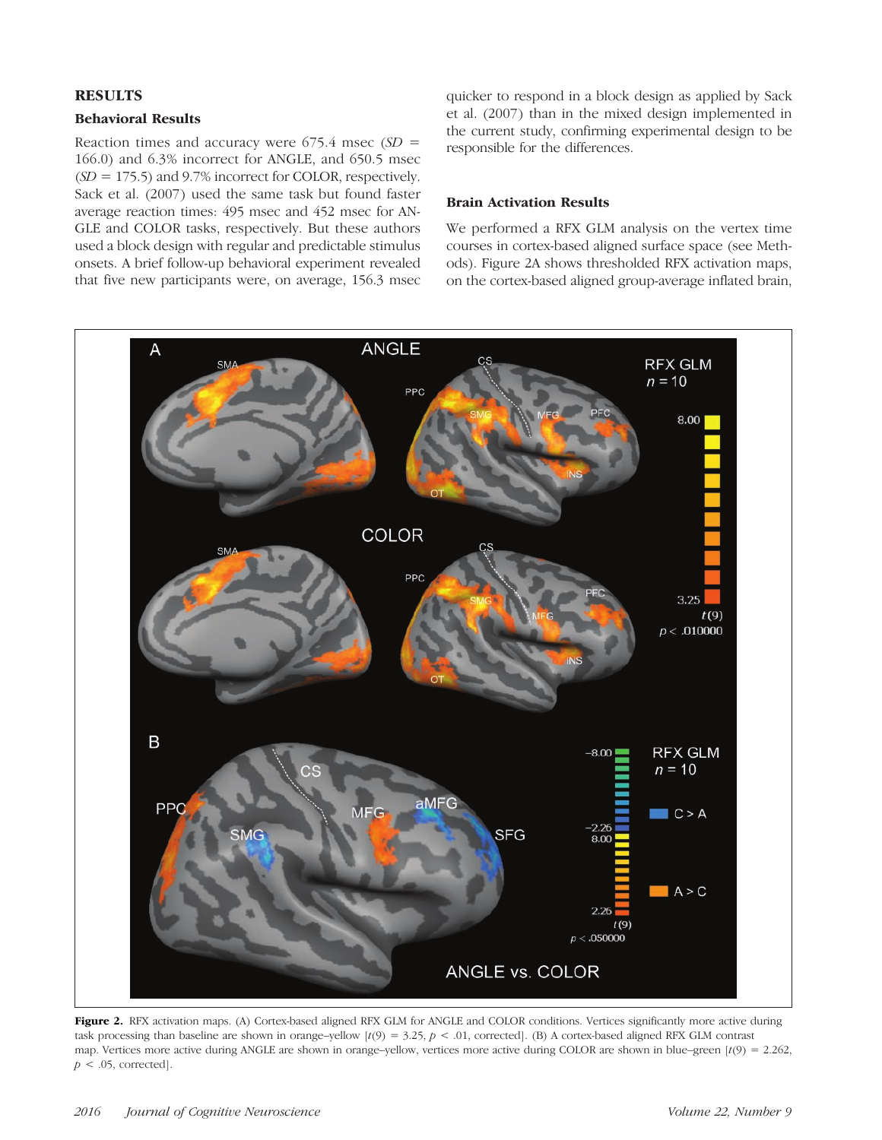## RESULTS

## Behavioral Results

Reaction times and accuracy were  $675.4$  msec  $SD =$ 166.0) and 6.3% incorrect for ANGLE, and 650.5 msec  $(SD = 175.5)$  and 9.7% incorrect for COLOR, respectively. Sack et al. (2007) used the same task but found faster average reaction times: 495 msec and 452 msec for AN-GLE and COLOR tasks, respectively. But these authors used a block design with regular and predictable stimulus onsets. A brief follow-up behavioral experiment revealed that five new participants were, on average, 156.3 msec quicker to respond in a block design as applied by Sack et al. (2007) than in the mixed design implemented in the current study, confirming experimental design to be responsible for the differences.

### Brain Activation Results

We performed a RFX GLM analysis on the vertex time courses in cortex-based aligned surface space (see Methods). Figure 2A shows thresholded RFX activation maps, on the cortex-based aligned group-average inflated brain,



Figure 2. RFX activation maps. (A) Cortex-based aligned RFX GLM for ANGLE and COLOR conditions. Vertices significantly more active during task processing than baseline are shown in orange-yellow  $[t(9) = 3.25, p < .01$ , corrected]. (B) A cortex-based aligned RFX GLM contrast map. Vertices more active during ANGLE are shown in orange-yellow, vertices more active during COLOR are shown in blue-green [t(9) = 2.262,  $p < .05$ , corrected].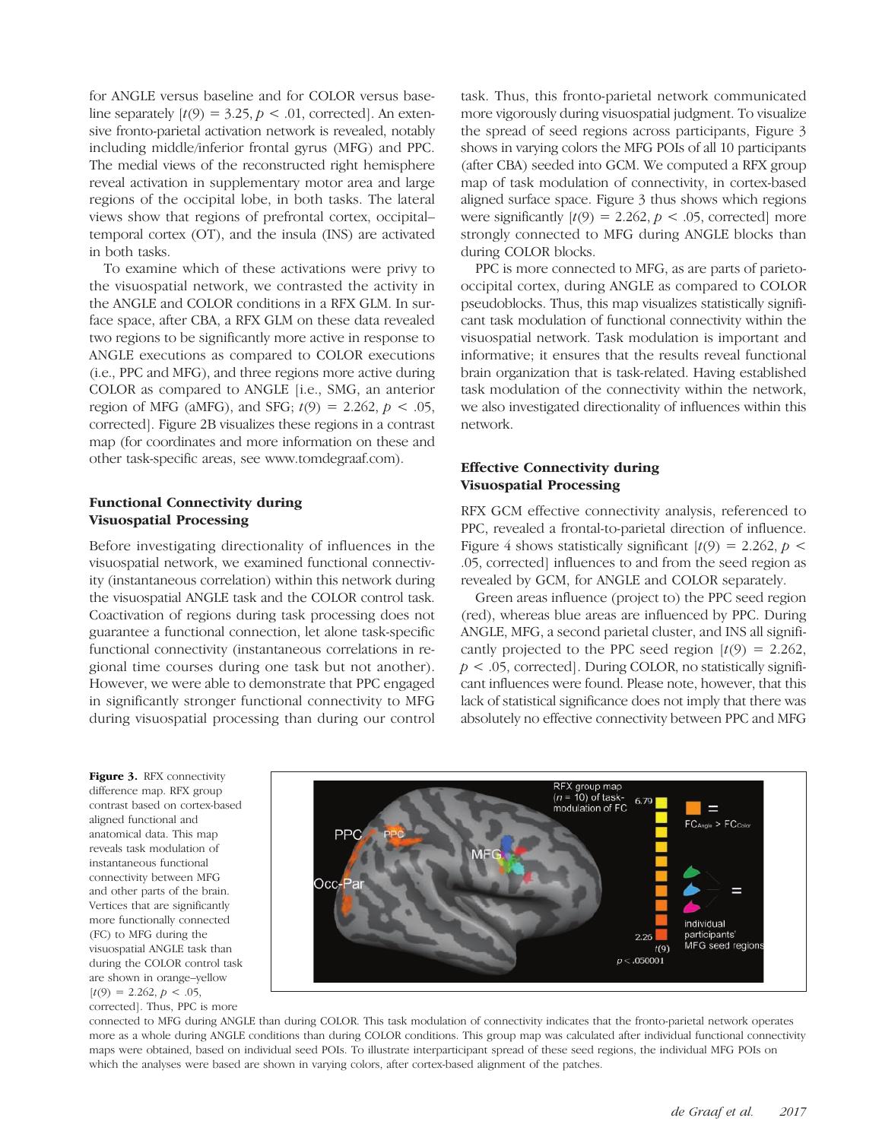for ANGLE versus baseline and for COLOR versus baseline separately  $[t(9) = 3.25, p < .01$ , corrected. An extensive fronto-parietal activation network is revealed, notably including middle/inferior frontal gyrus (MFG) and PPC. The medial views of the reconstructed right hemisphere reveal activation in supplementary motor area and large regions of the occipital lobe, in both tasks. The lateral views show that regions of prefrontal cortex, occipital– temporal cortex (OT), and the insula (INS) are activated in both tasks.

To examine which of these activations were privy to the visuospatial network, we contrasted the activity in the ANGLE and COLOR conditions in a RFX GLM. In surface space, after CBA, a RFX GLM on these data revealed two regions to be significantly more active in response to ANGLE executions as compared to COLOR executions (i.e., PPC and MFG), and three regions more active during COLOR as compared to ANGLE [i.e., SMG, an anterior region of MFG (aMFG), and SFG;  $t(9) = 2.262$ ,  $p < .05$ , corrected]. Figure 2B visualizes these regions in a contrast map (for coordinates and more information on these and other task-specific areas, see www.tomdegraaf.com).

## Functional Connectivity during Visuospatial Processing

Before investigating directionality of influences in the visuospatial network, we examined functional connectivity (instantaneous correlation) within this network during the visuospatial ANGLE task and the COLOR control task. Coactivation of regions during task processing does not guarantee a functional connection, let alone task-specific functional connectivity (instantaneous correlations in regional time courses during one task but not another). However, we were able to demonstrate that PPC engaged in significantly stronger functional connectivity to MFG during visuospatial processing than during our control

task. Thus, this fronto-parietal network communicated more vigorously during visuospatial judgment. To visualize the spread of seed regions across participants, Figure 3 shows in varying colors the MFG POIs of all 10 participants (after CBA) seeded into GCM. We computed a RFX group map of task modulation of connectivity, in cortex-based aligned surface space. Figure 3 thus shows which regions were significantly  $[t(9) = 2.262, p < .05$ , corrected more strongly connected to MFG during ANGLE blocks than during COLOR blocks.

PPC is more connected to MFG, as are parts of parietooccipital cortex, during ANGLE as compared to COLOR pseudoblocks. Thus, this map visualizes statistically significant task modulation of functional connectivity within the visuospatial network. Task modulation is important and informative; it ensures that the results reveal functional brain organization that is task-related. Having established task modulation of the connectivity within the network, we also investigated directionality of influences within this network.

## Effective Connectivity during Visuospatial Processing

RFX GCM effective connectivity analysis, referenced to PPC, revealed a frontal-to-parietal direction of influence. Figure 4 shows statistically significant  $[t(9) = 2.262, p <$ .05, corrected] influences to and from the seed region as revealed by GCM, for ANGLE and COLOR separately.

Green areas influence (project to) the PPC seed region (red), whereas blue areas are influenced by PPC. During ANGLE, MFG, a second parietal cluster, and INS all significantly projected to the PPC seed region  $[t(9) = 2.262]$ ,  $p < .05$ , corrected]. During COLOR, no statistically significant influences were found. Please note, however, that this lack of statistical significance does not imply that there was absolutely no effective connectivity between PPC and MFG

Figure 3. RFX connectivity difference map. RFX group contrast based on cortex-based aligned functional and anatomical data. This map reveals task modulation of instantaneous functional connectivity between MFG and other parts of the brain. Vertices that are significantly more functionally connected (FC) to MFG during the visuospatial ANGLE task than during the COLOR control task are shown in orange–yellow  $[t(9) = 2.262, p < .05,$ corrected]. Thus, PPC is more



connected to MFG during ANGLE than during COLOR. This task modulation of connectivity indicates that the fronto-parietal network operates more as a whole during ANGLE conditions than during COLOR conditions. This group map was calculated after individual functional connectivity maps were obtained, based on individual seed POIs. To illustrate interparticipant spread of these seed regions, the individual MFG POIs on which the analyses were based are shown in varying colors, after cortex-based alignment of the patches.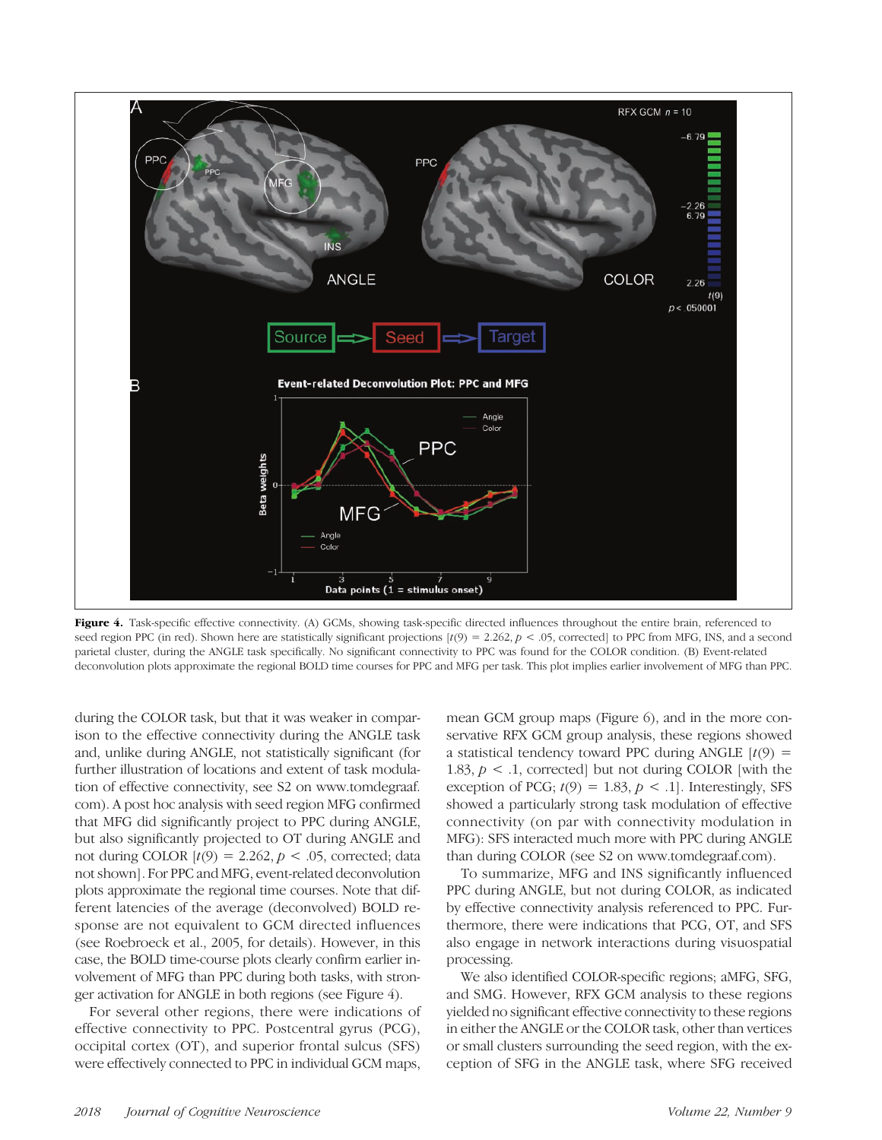

Figure 4. Task-specific effective connectivity. (A) GCMs, showing task-specific directed influences throughout the entire brain, referenced to seed region PPC (in red). Shown here are statistically significant projections  $[t(9) = 2.262, p < .05$ , corrected] to PPC from MFG, INS, and a second parietal cluster, during the ANGLE task specifically. No significant connectivity to PPC was found for the COLOR condition. (B) Event-related deconvolution plots approximate the regional BOLD time courses for PPC and MFG per task. This plot implies earlier involvement of MFG than PPC.

during the COLOR task, but that it was weaker in comparison to the effective connectivity during the ANGLE task and, unlike during ANGLE, not statistically significant (for further illustration of locations and extent of task modulation of effective connectivity, see S2 on www.tomdegraaf. com). A post hoc analysis with seed region MFG confirmed that MFG did significantly project to PPC during ANGLE, but also significantly projected to OT during ANGLE and not during COLOR  $[t(9) = 2.262, p < .05$ , corrected; data not shown]. For PPC and MFG, event-related deconvolution plots approximate the regional time courses. Note that different latencies of the average (deconvolved) BOLD response are not equivalent to GCM directed influences (see Roebroeck et al., 2005, for details). However, in this case, the BOLD time-course plots clearly confirm earlier involvement of MFG than PPC during both tasks, with stronger activation for ANGLE in both regions (see Figure 4).

For several other regions, there were indications of effective connectivity to PPC. Postcentral gyrus (PCG), occipital cortex (OT), and superior frontal sulcus (SFS) were effectively connected to PPC in individual GCM maps,

mean GCM group maps (Figure 6), and in the more conservative RFX GCM group analysis, these regions showed a statistical tendency toward PPC during ANGLE  $[t(9) =$ 1.83,  $p < 0.1$ , corrected but not during COLOR with the exception of PCG;  $t(9) = 1.83$ ,  $p < 0.1$ . Interestingly, SFS showed a particularly strong task modulation of effective connectivity (on par with connectivity modulation in MFG): SFS interacted much more with PPC during ANGLE than during COLOR (see S2 on www.tomdegraaf.com).

To summarize, MFG and INS significantly influenced PPC during ANGLE, but not during COLOR, as indicated by effective connectivity analysis referenced to PPC. Furthermore, there were indications that PCG, OT, and SFS also engage in network interactions during visuospatial processing.

We also identified COLOR-specific regions; aMFG, SFG, and SMG. However, RFX GCM analysis to these regions yielded no significant effective connectivity to these regions in either the ANGLE or the COLOR task, other than vertices or small clusters surrounding the seed region, with the exception of SFG in the ANGLE task, where SFG received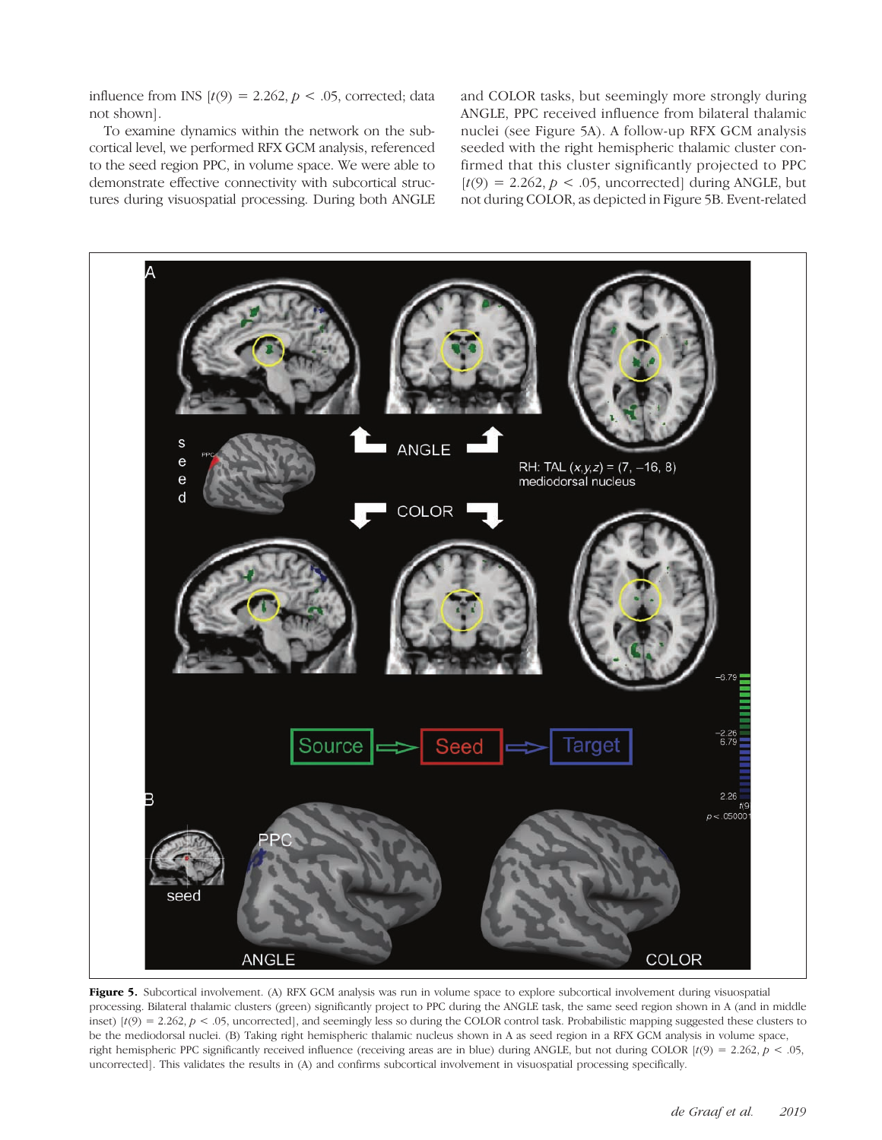influence from INS  $[t(9) = 2.262, p < .05$ , corrected; data not shown].

To examine dynamics within the network on the subcortical level, we performed RFX GCM analysis, referenced to the seed region PPC, in volume space. We were able to demonstrate effective connectivity with subcortical structures during visuospatial processing. During both ANGLE and COLOR tasks, but seemingly more strongly during ANGLE, PPC received influence from bilateral thalamic nuclei (see Figure 5A). A follow-up RFX GCM analysis seeded with the right hemispheric thalamic cluster confirmed that this cluster significantly projected to PPC  $[t(9) = 2.262, p < .05,$  uncorrected during ANGLE, but not during COLOR, as depicted in Figure 5B. Event-related



Figure 5. Subcortical involvement. (A) RFX GCM analysis was run in volume space to explore subcortical involvement during visuospatial processing. Bilateral thalamic clusters (green) significantly project to PPC during the ANGLE task, the same seed region shown in A (and in middle inset)  $[t(9) = 2.262, p < .05$ , uncorrected], and seemingly less so during the COLOR control task. Probabilistic mapping suggested these clusters to be the mediodorsal nuclei. (B) Taking right hemispheric thalamic nucleus shown in A as seed region in a RFX GCM analysis in volume space, right hemispheric PPC significantly received influence (receiving areas are in blue) during ANGLE, but not during COLOR  $[t(9) = 2.262, p < .05,$ uncorrected]. This validates the results in (A) and confirms subcortical involvement in visuospatial processing specifically.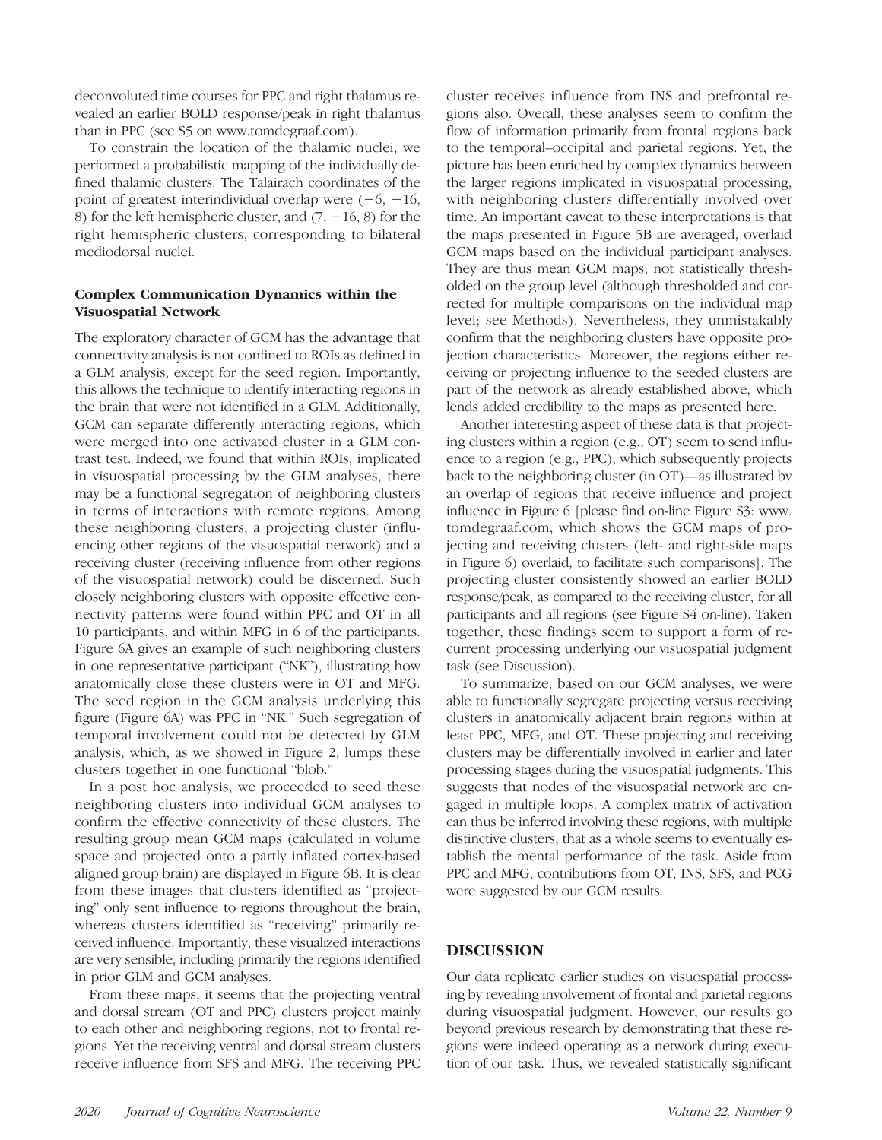deconvoluted time courses for PPC and right thalamus revealed an earlier BOLD response/peak in right thalamus than in PPC (see S5 on www.tomdegraaf.com).

To constrain the location of the thalamic nuclei, we performed a probabilistic mapping of the individually defined thalamic clusters. The Talairach coordinates of the point of greatest interindividual overlap were (−6, −16, 8) for the left hemispheric cluster, and (7, −16, 8) for the right hemispheric clusters, corresponding to bilateral mediodorsal nuclei.

## Complex Communication Dynamics within the Visuospatial Network

The exploratory character of GCM has the advantage that connectivity analysis is not confined to ROIs as defined in a GLM analysis, except for the seed region. Importantly, this allows the technique to identify interacting regions in the brain that were not identified in a GLM. Additionally, GCM can separate differently interacting regions, which were merged into one activated cluster in a GLM contrast test. Indeed, we found that within ROIs, implicated in visuospatial processing by the GLM analyses, there may be a functional segregation of neighboring clusters in terms of interactions with remote regions. Among these neighboring clusters, a projecting cluster (influencing other regions of the visuospatial network) and a receiving cluster (receiving influence from other regions of the visuospatial network) could be discerned. Such closely neighboring clusters with opposite effective connectivity patterns were found within PPC and OT in all 10 participants, and within MFG in 6 of the participants. Figure 6A gives an example of such neighboring clusters in one representative participant ("NK"), illustrating how anatomically close these clusters were in OT and MFG. The seed region in the GCM analysis underlying this figure (Figure 6A) was PPC in "NK." Such segregation of temporal involvement could not be detected by GLM analysis, which, as we showed in Figure 2, lumps these clusters together in one functional "blob."

In a post hoc analysis, we proceeded to seed these neighboring clusters into individual GCM analyses to confirm the effective connectivity of these clusters. The resulting group mean GCM maps (calculated in volume space and projected onto a partly inflated cortex-based aligned group brain) are displayed in Figure 6B. It is clear from these images that clusters identified as "projecting" only sent influence to regions throughout the brain, whereas clusters identified as "receiving" primarily received influence. Importantly, these visualized interactions are very sensible, including primarily the regions identified in prior GLM and GCM analyses.

From these maps, it seems that the projecting ventral and dorsal stream (OT and PPC) clusters project mainly to each other and neighboring regions, not to frontal regions. Yet the receiving ventral and dorsal stream clusters receive influence from SFS and MFG. The receiving PPC cluster receives influence from INS and prefrontal regions also. Overall, these analyses seem to confirm the flow of information primarily from frontal regions back to the temporal–occipital and parietal regions. Yet, the picture has been enriched by complex dynamics between the larger regions implicated in visuospatial processing, with neighboring clusters differentially involved over time. An important caveat to these interpretations is that the maps presented in Figure 5B are averaged, overlaid GCM maps based on the individual participant analyses. They are thus mean GCM maps; not statistically thresholded on the group level (although thresholded and corrected for multiple comparisons on the individual map level; see Methods). Nevertheless, they unmistakably confirm that the neighboring clusters have opposite projection characteristics. Moreover, the regions either receiving or projecting influence to the seeded clusters are part of the network as already established above, which lends added credibility to the maps as presented here.

Another interesting aspect of these data is that projecting clusters within a region (e.g., OT) seem to send influence to a region (e.g., PPC), which subsequently projects back to the neighboring cluster (in OT)—as illustrated by an overlap of regions that receive influence and project influence in Figure 6 [please find on-line Figure S3: www. tomdegraaf.com, which shows the GCM maps of projecting and receiving clusters (left- and right-side maps in Figure 6) overlaid, to facilitate such comparisons]. The projecting cluster consistently showed an earlier BOLD response/peak, as compared to the receiving cluster, for all participants and all regions (see Figure S4 on-line). Taken together, these findings seem to support a form of recurrent processing underlying our visuospatial judgment task (see Discussion).

To summarize, based on our GCM analyses, we were able to functionally segregate projecting versus receiving clusters in anatomically adjacent brain regions within at least PPC, MFG, and OT. These projecting and receiving clusters may be differentially involved in earlier and later processing stages during the visuospatial judgments. This suggests that nodes of the visuospatial network are engaged in multiple loops. A complex matrix of activation can thus be inferred involving these regions, with multiple distinctive clusters, that as a whole seems to eventually establish the mental performance of the task. Aside from PPC and MFG, contributions from OT, INS, SFS, and PCG were suggested by our GCM results.

# DISCUSSION

Our data replicate earlier studies on visuospatial processing by revealing involvement of frontal and parietal regions during visuospatial judgment. However, our results go beyond previous research by demonstrating that these regions were indeed operating as a network during execution of our task. Thus, we revealed statistically significant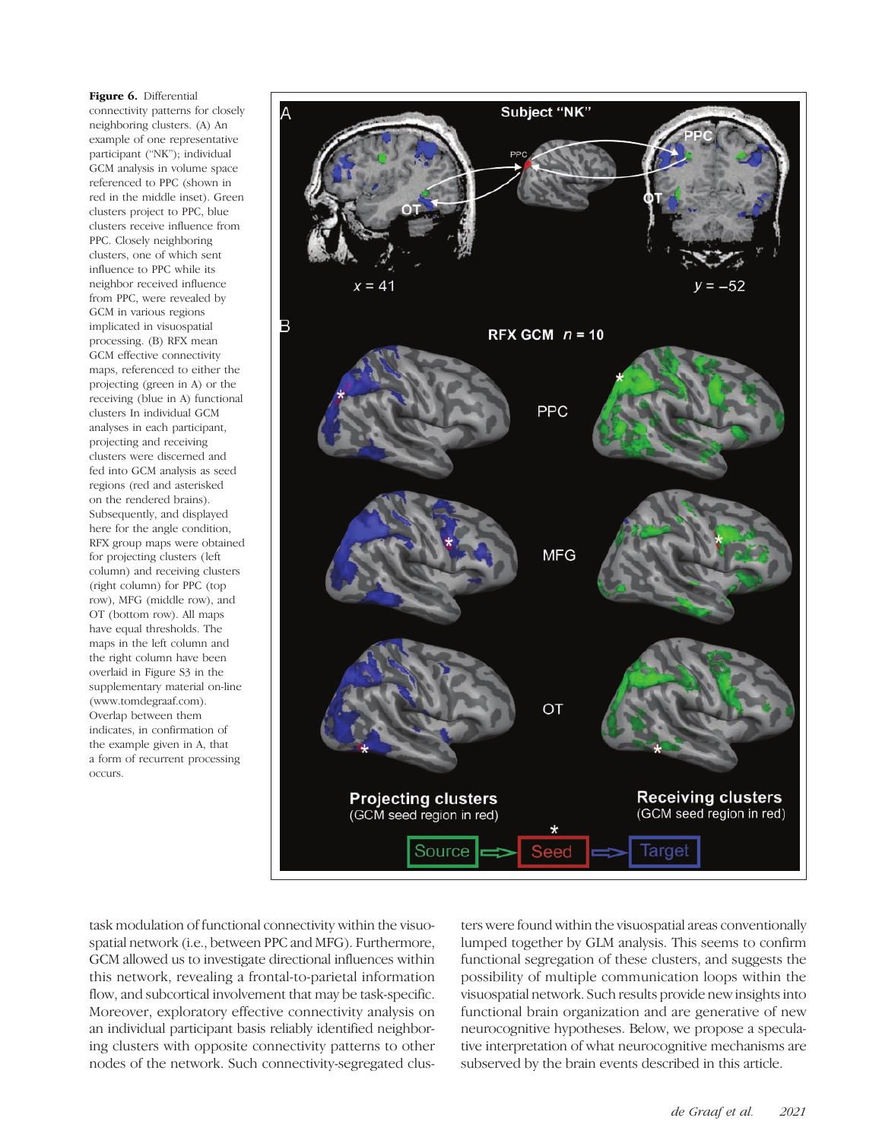Figure 6. Differential connectivity patterns for closely neighboring clusters. (A) An example of one representative participant ("NK"); individual GCM analysis in volume space referenced to PPC (shown in red in the middle inset). Green clusters project to PPC, blue clusters receive influence from PPC. Closely neighboring clusters, one of which sent influence to PPC while its neighbor received influence from PPC, were revealed by GCM in various regions implicated in visuospatial processing. (B) RFX mean GCM effective connectivity maps, referenced to either the projecting (green in A) or the receiving (blue in A) functional clusters In individual GCM analyses in each participant, projecting and receiving clusters were discerned and fed into GCM analysis as seed regions (red and asterisked on the rendered brains). Subsequently, and displayed here for the angle condition, RFX group maps were obtained for projecting clusters (left column) and receiving clusters (right column) for PPC (top row), MFG (middle row), and OT (bottom row). All maps have equal thresholds. The maps in the left column and the right column have been overlaid in Figure S3 in the supplementary material on-line (www.tomdegraaf.com). Overlap between them indicates, in confirmation of the example given in A, that a form of recurrent processing occurs.



task modulation of functional connectivity within the visuospatial network (i.e., between PPC and MFG). Furthermore, GCM allowed us to investigate directional influences within this network, revealing a frontal-to-parietal information flow, and subcortical involvement that may be task-specific. Moreover, exploratory effective connectivity analysis on an individual participant basis reliably identified neighboring clusters with opposite connectivity patterns to other nodes of the network. Such connectivity-segregated clus-

ters were found within the visuospatial areas conventionally lumped together by GLM analysis. This seems to confirm functional segregation of these clusters, and suggests the possibility of multiple communication loops within the visuospatial network. Such results provide new insights into functional brain organization and are generative of new neurocognitive hypotheses. Below, we propose a speculative interpretation of what neurocognitive mechanisms are subserved by the brain events described in this article.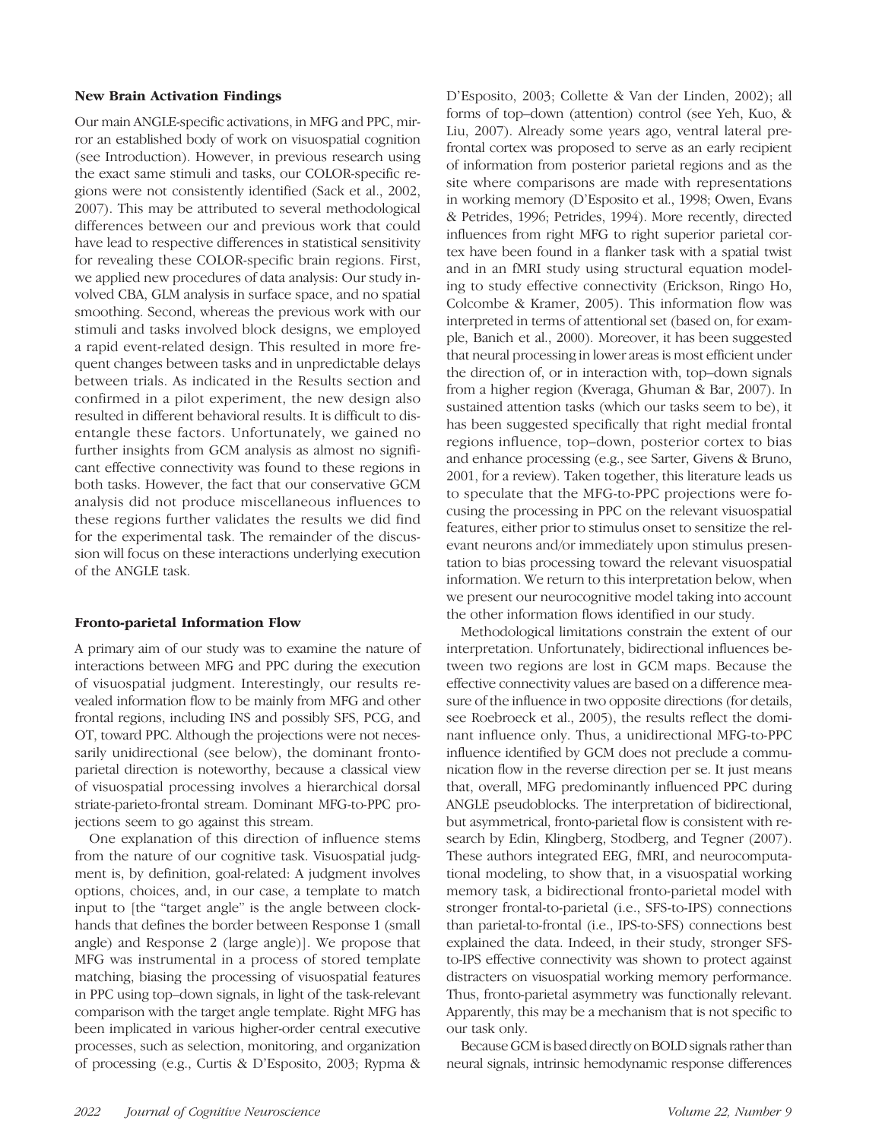#### New Brain Activation Findings

Our main ANGLE-specific activations, in MFG and PPC, mirror an established body of work on visuospatial cognition (see Introduction). However, in previous research using the exact same stimuli and tasks, our COLOR-specific regions were not consistently identified (Sack et al., 2002, 2007). This may be attributed to several methodological differences between our and previous work that could have lead to respective differences in statistical sensitivity for revealing these COLOR-specific brain regions. First, we applied new procedures of data analysis: Our study involved CBA, GLM analysis in surface space, and no spatial smoothing. Second, whereas the previous work with our stimuli and tasks involved block designs, we employed a rapid event-related design. This resulted in more frequent changes between tasks and in unpredictable delays between trials. As indicated in the Results section and confirmed in a pilot experiment, the new design also resulted in different behavioral results. It is difficult to disentangle these factors. Unfortunately, we gained no further insights from GCM analysis as almost no significant effective connectivity was found to these regions in both tasks. However, the fact that our conservative GCM analysis did not produce miscellaneous influences to these regions further validates the results we did find for the experimental task. The remainder of the discussion will focus on these interactions underlying execution of the ANGLE task.

### Fronto-parietal Information Flow

A primary aim of our study was to examine the nature of interactions between MFG and PPC during the execution of visuospatial judgment. Interestingly, our results revealed information flow to be mainly from MFG and other frontal regions, including INS and possibly SFS, PCG, and OT, toward PPC. Although the projections were not necessarily unidirectional (see below), the dominant frontoparietal direction is noteworthy, because a classical view of visuospatial processing involves a hierarchical dorsal striate-parieto-frontal stream. Dominant MFG-to-PPC projections seem to go against this stream.

One explanation of this direction of influence stems from the nature of our cognitive task. Visuospatial judgment is, by definition, goal-related: A judgment involves options, choices, and, in our case, a template to match input to [the "target angle" is the angle between clockhands that defines the border between Response 1 (small angle) and Response 2 (large angle)]. We propose that MFG was instrumental in a process of stored template matching, biasing the processing of visuospatial features in PPC using top–down signals, in light of the task-relevant comparison with the target angle template. Right MFG has been implicated in various higher-order central executive processes, such as selection, monitoring, and organization of processing (e.g., Curtis & D'Esposito, 2003; Rypma & D'Esposito, 2003; Collette & Van der Linden, 2002); all forms of top–down (attention) control (see Yeh, Kuo, & Liu, 2007). Already some years ago, ventral lateral prefrontal cortex was proposed to serve as an early recipient of information from posterior parietal regions and as the site where comparisons are made with representations in working memory (D'Esposito et al., 1998; Owen, Evans & Petrides, 1996; Petrides, 1994). More recently, directed influences from right MFG to right superior parietal cortex have been found in a flanker task with a spatial twist and in an fMRI study using structural equation modeling to study effective connectivity (Erickson, Ringo Ho, Colcombe & Kramer, 2005). This information flow was interpreted in terms of attentional set (based on, for example, Banich et al., 2000). Moreover, it has been suggested that neural processing in lower areas is most efficient under the direction of, or in interaction with, top–down signals from a higher region (Kveraga, Ghuman & Bar, 2007). In sustained attention tasks (which our tasks seem to be), it has been suggested specifically that right medial frontal regions influence, top–down, posterior cortex to bias and enhance processing (e.g., see Sarter, Givens & Bruno, 2001, for a review). Taken together, this literature leads us to speculate that the MFG-to-PPC projections were focusing the processing in PPC on the relevant visuospatial features, either prior to stimulus onset to sensitize the relevant neurons and/or immediately upon stimulus presentation to bias processing toward the relevant visuospatial information. We return to this interpretation below, when we present our neurocognitive model taking into account the other information flows identified in our study.

Methodological limitations constrain the extent of our interpretation. Unfortunately, bidirectional influences between two regions are lost in GCM maps. Because the effective connectivity values are based on a difference measure of the influence in two opposite directions (for details, see Roebroeck et al., 2005), the results reflect the dominant influence only. Thus, a unidirectional MFG-to-PPC influence identified by GCM does not preclude a communication flow in the reverse direction per se. It just means that, overall, MFG predominantly influenced PPC during ANGLE pseudoblocks. The interpretation of bidirectional, but asymmetrical, fronto-parietal flow is consistent with research by Edin, Klingberg, Stodberg, and Tegner (2007). These authors integrated EEG, fMRI, and neurocomputational modeling, to show that, in a visuospatial working memory task, a bidirectional fronto-parietal model with stronger frontal-to-parietal (i.e., SFS-to-IPS) connections than parietal-to-frontal (i.e., IPS-to-SFS) connections best explained the data. Indeed, in their study, stronger SFSto-IPS effective connectivity was shown to protect against distracters on visuospatial working memory performance. Thus, fronto-parietal asymmetry was functionally relevant. Apparently, this may be a mechanism that is not specific to our task only.

Because GCM is based directly on BOLD signals rather than neural signals, intrinsic hemodynamic response differences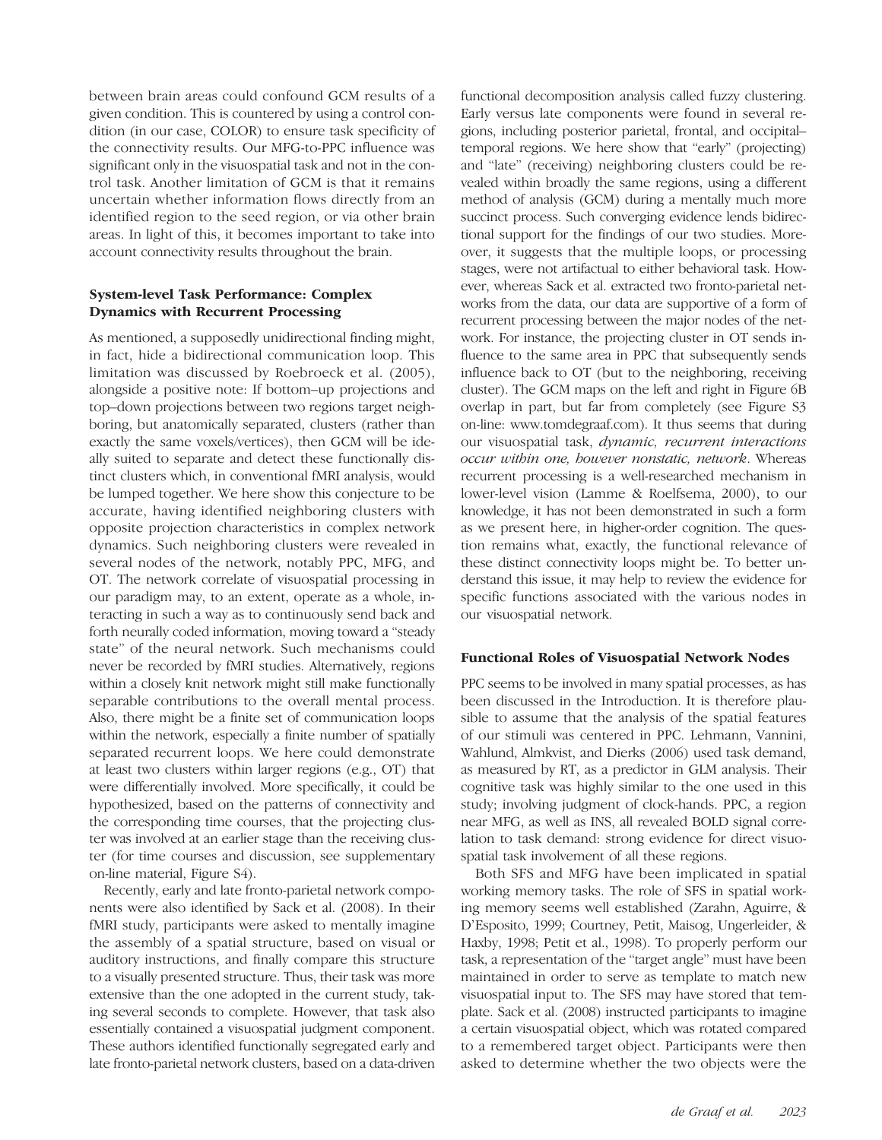between brain areas could confound GCM results of a given condition. This is countered by using a control condition (in our case, COLOR) to ensure task specificity of the connectivity results. Our MFG-to-PPC influence was significant only in the visuospatial task and not in the control task. Another limitation of GCM is that it remains uncertain whether information flows directly from an identified region to the seed region, or via other brain areas. In light of this, it becomes important to take into account connectivity results throughout the brain.

## System-level Task Performance: Complex Dynamics with Recurrent Processing

As mentioned, a supposedly unidirectional finding might, in fact, hide a bidirectional communication loop. This limitation was discussed by Roebroeck et al. (2005), alongside a positive note: If bottom–up projections and top–down projections between two regions target neighboring, but anatomically separated, clusters (rather than exactly the same voxels/vertices), then GCM will be ideally suited to separate and detect these functionally distinct clusters which, in conventional fMRI analysis, would be lumped together. We here show this conjecture to be accurate, having identified neighboring clusters with opposite projection characteristics in complex network dynamics. Such neighboring clusters were revealed in several nodes of the network, notably PPC, MFG, and OT. The network correlate of visuospatial processing in our paradigm may, to an extent, operate as a whole, interacting in such a way as to continuously send back and forth neurally coded information, moving toward a "steady state" of the neural network. Such mechanisms could never be recorded by fMRI studies. Alternatively, regions within a closely knit network might still make functionally separable contributions to the overall mental process. Also, there might be a finite set of communication loops within the network, especially a finite number of spatially separated recurrent loops. We here could demonstrate at least two clusters within larger regions (e.g., OT) that were differentially involved. More specifically, it could be hypothesized, based on the patterns of connectivity and the corresponding time courses, that the projecting cluster was involved at an earlier stage than the receiving cluster (for time courses and discussion, see supplementary on-line material, Figure S4).

Recently, early and late fronto-parietal network components were also identified by Sack et al. (2008). In their fMRI study, participants were asked to mentally imagine the assembly of a spatial structure, based on visual or auditory instructions, and finally compare this structure to a visually presented structure. Thus, their task was more extensive than the one adopted in the current study, taking several seconds to complete. However, that task also essentially contained a visuospatial judgment component. These authors identified functionally segregated early and late fronto-parietal network clusters, based on a data-driven

functional decomposition analysis called fuzzy clustering. Early versus late components were found in several regions, including posterior parietal, frontal, and occipital– temporal regions. We here show that "early" (projecting) and "late" (receiving) neighboring clusters could be revealed within broadly the same regions, using a different method of analysis (GCM) during a mentally much more succinct process. Such converging evidence lends bidirectional support for the findings of our two studies. Moreover, it suggests that the multiple loops, or processing stages, were not artifactual to either behavioral task. However, whereas Sack et al. extracted two fronto-parietal networks from the data, our data are supportive of a form of recurrent processing between the major nodes of the network. For instance, the projecting cluster in OT sends influence to the same area in PPC that subsequently sends influence back to OT (but to the neighboring, receiving cluster). The GCM maps on the left and right in Figure 6B overlap in part, but far from completely (see Figure S3 on-line: www.tomdegraaf.com). It thus seems that during our visuospatial task, dynamic, recurrent interactions occur within one, however nonstatic, network. Whereas recurrent processing is a well-researched mechanism in lower-level vision (Lamme & Roelfsema, 2000), to our knowledge, it has not been demonstrated in such a form as we present here, in higher-order cognition. The question remains what, exactly, the functional relevance of these distinct connectivity loops might be. To better understand this issue, it may help to review the evidence for specific functions associated with the various nodes in our visuospatial network.

## Functional Roles of Visuospatial Network Nodes

PPC seems to be involved in many spatial processes, as has been discussed in the Introduction. It is therefore plausible to assume that the analysis of the spatial features of our stimuli was centered in PPC. Lehmann, Vannini, Wahlund, Almkvist, and Dierks (2006) used task demand, as measured by RT, as a predictor in GLM analysis. Their cognitive task was highly similar to the one used in this study; involving judgment of clock-hands. PPC, a region near MFG, as well as INS, all revealed BOLD signal correlation to task demand: strong evidence for direct visuospatial task involvement of all these regions.

Both SFS and MFG have been implicated in spatial working memory tasks. The role of SFS in spatial working memory seems well established (Zarahn, Aguirre, & D'Esposito, 1999; Courtney, Petit, Maisog, Ungerleider, & Haxby, 1998; Petit et al., 1998). To properly perform our task, a representation of the "target angle" must have been maintained in order to serve as template to match new visuospatial input to. The SFS may have stored that template. Sack et al. (2008) instructed participants to imagine a certain visuospatial object, which was rotated compared to a remembered target object. Participants were then asked to determine whether the two objects were the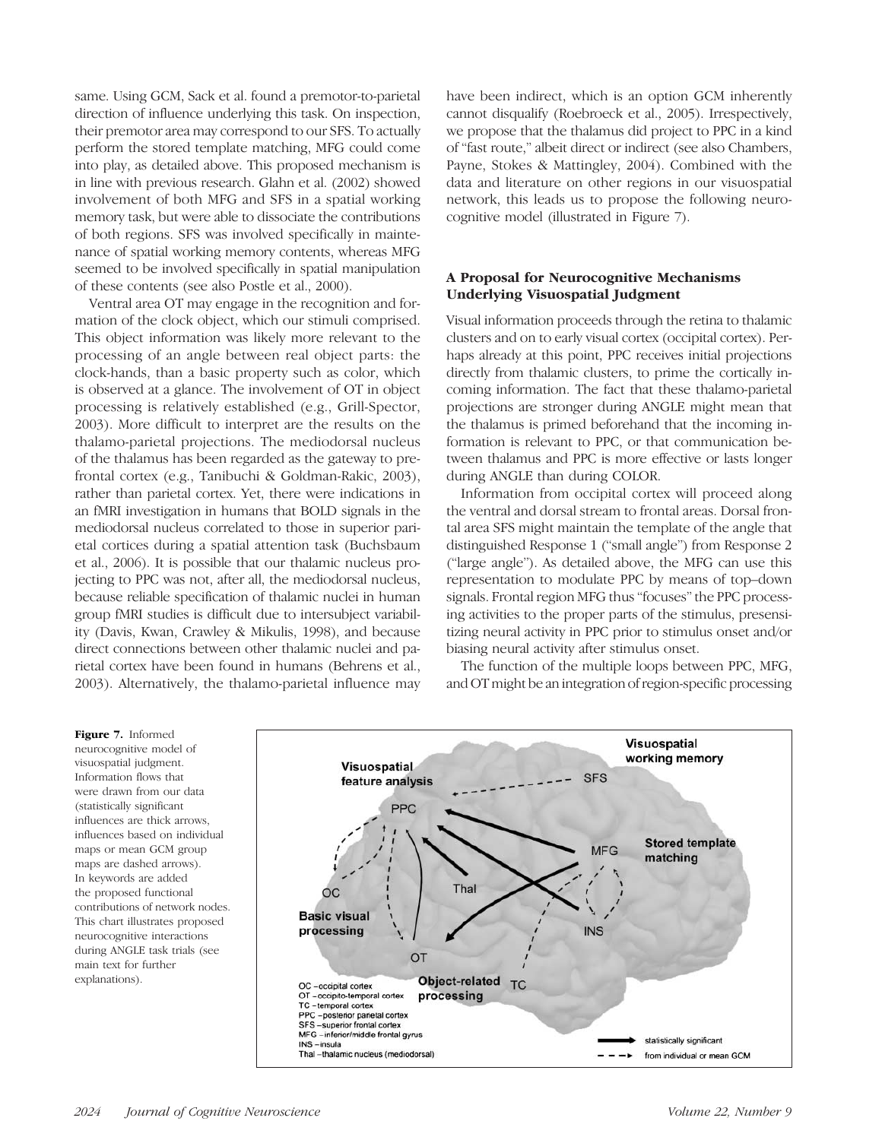same. Using GCM, Sack et al. found a premotor-to-parietal direction of influence underlying this task. On inspection, their premotor area may correspond to our SFS. To actually perform the stored template matching, MFG could come into play, as detailed above. This proposed mechanism is in line with previous research. Glahn et al. (2002) showed involvement of both MFG and SFS in a spatial working memory task, but were able to dissociate the contributions of both regions. SFS was involved specifically in maintenance of spatial working memory contents, whereas MFG seemed to be involved specifically in spatial manipulation of these contents (see also Postle et al., 2000).

Ventral area OT may engage in the recognition and formation of the clock object, which our stimuli comprised. This object information was likely more relevant to the processing of an angle between real object parts: the clock-hands, than a basic property such as color, which is observed at a glance. The involvement of OT in object processing is relatively established (e.g., Grill-Spector, 2003). More difficult to interpret are the results on the thalamo-parietal projections. The mediodorsal nucleus of the thalamus has been regarded as the gateway to prefrontal cortex (e.g., Tanibuchi & Goldman-Rakic, 2003), rather than parietal cortex. Yet, there were indications in an fMRI investigation in humans that BOLD signals in the mediodorsal nucleus correlated to those in superior parietal cortices during a spatial attention task (Buchsbaum et al., 2006). It is possible that our thalamic nucleus projecting to PPC was not, after all, the mediodorsal nucleus, because reliable specification of thalamic nuclei in human group fMRI studies is difficult due to intersubject variability (Davis, Kwan, Crawley & Mikulis, 1998), and because direct connections between other thalamic nuclei and parietal cortex have been found in humans (Behrens et al., 2003). Alternatively, the thalamo-parietal influence may have been indirect, which is an option GCM inherently cannot disqualify (Roebroeck et al., 2005). Irrespectively, we propose that the thalamus did project to PPC in a kind of "fast route," albeit direct or indirect (see also Chambers, Payne, Stokes & Mattingley, 2004). Combined with the data and literature on other regions in our visuospatial network, this leads us to propose the following neurocognitive model (illustrated in Figure 7).

## A Proposal for Neurocognitive Mechanisms Underlying Visuospatial Judgment

Visual information proceeds through the retina to thalamic clusters and on to early visual cortex (occipital cortex). Perhaps already at this point, PPC receives initial projections directly from thalamic clusters, to prime the cortically incoming information. The fact that these thalamo-parietal projections are stronger during ANGLE might mean that the thalamus is primed beforehand that the incoming information is relevant to PPC, or that communication between thalamus and PPC is more effective or lasts longer during ANGLE than during COLOR.

Information from occipital cortex will proceed along the ventral and dorsal stream to frontal areas. Dorsal frontal area SFS might maintain the template of the angle that distinguished Response 1 ("small angle") from Response 2 ("large angle"). As detailed above, the MFG can use this representation to modulate PPC by means of top–down signals. Frontal region MFG thus "focuses" the PPC processing activities to the proper parts of the stimulus, presensitizing neural activity in PPC prior to stimulus onset and/or biasing neural activity after stimulus onset.

The function of the multiple loops between PPC, MFG, and OT might be an integration of region-specific processing

Figure 7. Informed neurocognitive model of visuospatial judgment. Information flows that were drawn from our data (statistically significant influences are thick arrows, influences based on individual maps or mean GCM group maps are dashed arrows). In keywords are added the proposed functional contributions of network nodes. This chart illustrates proposed neurocognitive interactions during ANGLE task trials (see main text for further explanations).

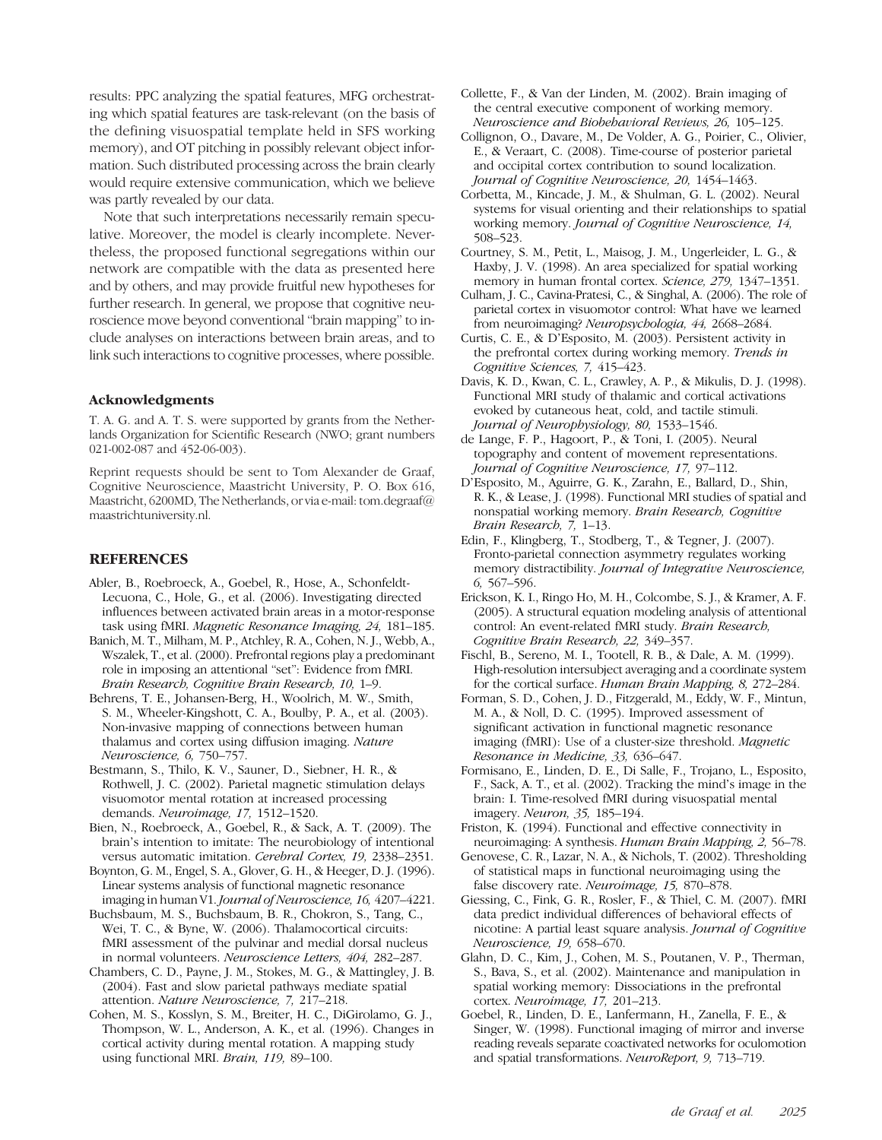results: PPC analyzing the spatial features, MFG orchestrating which spatial features are task-relevant (on the basis of the defining visuospatial template held in SFS working memory), and OT pitching in possibly relevant object information. Such distributed processing across the brain clearly would require extensive communication, which we believe was partly revealed by our data.

Note that such interpretations necessarily remain speculative. Moreover, the model is clearly incomplete. Nevertheless, the proposed functional segregations within our network are compatible with the data as presented here and by others, and may provide fruitful new hypotheses for further research. In general, we propose that cognitive neuroscience move beyond conventional "brain mapping" to include analyses on interactions between brain areas, and to link such interactions to cognitive processes, where possible.

#### Acknowledgments

T. A. G. and A. T. S. were supported by grants from the Netherlands Organization for Scientific Research (NWO; grant numbers 021-002-087 and 452-06-003).

Reprint requests should be sent to Tom Alexander de Graaf, Cognitive Neuroscience, Maastricht University, P. O. Box 616, Maastricht, 6200MD, The Netherlands, or via e-mail: tom.degraaf@ maastrichtuniversity.nl.

#### REFERENCES

- Abler, B., Roebroeck, A., Goebel, R., Hose, A., Schonfeldt-Lecuona, C., Hole, G., et al. (2006). Investigating directed influences between activated brain areas in a motor-response task using fMRI. Magnetic Resonance Imaging, 24, 181–185.
- Banich, M. T., Milham, M. P., Atchley, R. A., Cohen, N. J., Webb, A., Wszalek, T., et al. (2000). Prefrontal regions play a predominant role in imposing an attentional "set": Evidence from fMRI. Brain Research, Cognitive Brain Research, 10, 1–9.
- Behrens, T. E., Johansen-Berg, H., Woolrich, M. W., Smith, S. M., Wheeler-Kingshott, C. A., Boulby, P. A., et al. (2003). Non-invasive mapping of connections between human thalamus and cortex using diffusion imaging. Nature Neuroscience, 6, 750–757.
- Bestmann, S., Thilo, K. V., Sauner, D., Siebner, H. R., & Rothwell, J. C. (2002). Parietal magnetic stimulation delays visuomotor mental rotation at increased processing demands. Neuroimage, 17, 1512–1520.
- Bien, N., Roebroeck, A., Goebel, R., & Sack, A. T. (2009). The brain's intention to imitate: The neurobiology of intentional versus automatic imitation. Cerebral Cortex, 19, 2338–2351.
- Boynton, G. M., Engel, S. A., Glover, G. H., & Heeger, D. J. (1996). Linear systems analysis of functional magnetic resonance imaging in human V1. Journal of Neuroscience, 16, 4207–4221.
- Buchsbaum, M. S., Buchsbaum, B. R., Chokron, S., Tang, C., Wei, T. C., & Byne, W. (2006). Thalamocortical circuits: fMRI assessment of the pulvinar and medial dorsal nucleus in normal volunteers. Neuroscience Letters, 404, 282–287.
- Chambers, C. D., Payne, J. M., Stokes, M. G., & Mattingley, J. B. (2004). Fast and slow parietal pathways mediate spatial attention. Nature Neuroscience, 7, 217–218.
- Cohen, M. S., Kosslyn, S. M., Breiter, H. C., DiGirolamo, G. J., Thompson, W. L., Anderson, A. K., et al. (1996). Changes in cortical activity during mental rotation. A mapping study using functional MRI. Brain, 119, 89–100.
- Collette, F., & Van der Linden, M. (2002). Brain imaging of the central executive component of working memory. Neuroscience and Biobehavioral Reviews, 26, 105–125.
- Collignon, O., Davare, M., De Volder, A. G., Poirier, C., Olivier, E., & Veraart, C. (2008). Time-course of posterior parietal and occipital cortex contribution to sound localization. Journal of Cognitive Neuroscience, 20, 1454–1463.
- Corbetta, M., Kincade, J. M., & Shulman, G. L. (2002). Neural systems for visual orienting and their relationships to spatial working memory. Journal of Cognitive Neuroscience, 14, 508–523.
- Courtney, S. M., Petit, L., Maisog, J. M., Ungerleider, L. G., & Haxby, J. V. (1998). An area specialized for spatial working memory in human frontal cortex. Science, 279, 1347-1351.
- Culham, J. C., Cavina-Pratesi, C., & Singhal, A. (2006). The role of parietal cortex in visuomotor control: What have we learned from neuroimaging? Neuropsychologia, 44, 2668–2684.
- Curtis, C. E., & D'Esposito, M. (2003). Persistent activity in the prefrontal cortex during working memory. Trends in Cognitive Sciences, 7, 415–423.
- Davis, K. D., Kwan, C. L., Crawley, A. P., & Mikulis, D. J. (1998). Functional MRI study of thalamic and cortical activations evoked by cutaneous heat, cold, and tactile stimuli. Journal of Neurophysiology, 80, 1533–1546.
- de Lange, F. P., Hagoort, P., & Toni, I. (2005). Neural topography and content of movement representations. Journal of Cognitive Neuroscience, 17, 97–112.
- D'Esposito, M., Aguirre, G. K., Zarahn, E., Ballard, D., Shin, R. K., & Lease, J. (1998). Functional MRI studies of spatial and nonspatial working memory. Brain Research, Cognitive Brain Research, 7, 1–13.
- Edin, F., Klingberg, T., Stodberg, T., & Tegner, J. (2007). Fronto-parietal connection asymmetry regulates working memory distractibility. Journal of Integrative Neuroscience, 6, 567–596.
- Erickson, K. I., Ringo Ho, M. H., Colcombe, S. J., & Kramer, A. F. (2005). A structural equation modeling analysis of attentional control: An event-related fMRI study. Brain Research, Cognitive Brain Research, 22, 349–357.
- Fischl, B., Sereno, M. I., Tootell, R. B., & Dale, A. M. (1999). High-resolution intersubject averaging and a coordinate system for the cortical surface. Human Brain Mapping, 8, 272–284.
- Forman, S. D., Cohen, J. D., Fitzgerald, M., Eddy, W. F., Mintun, M. A., & Noll, D. C. (1995). Improved assessment of significant activation in functional magnetic resonance imaging (fMRI): Use of a cluster-size threshold. Magnetic Resonance in Medicine, 33, 636–647.
- Formisano, E., Linden, D. E., Di Salle, F., Trojano, L., Esposito, F., Sack, A. T., et al. (2002). Tracking the mind's image in the brain: I. Time-resolved fMRI during visuospatial mental imagery. Neuron, 35, 185–194.
- Friston, K. (1994). Functional and effective connectivity in neuroimaging: A synthesis. Human Brain Mapping, 2, 56–78.
- Genovese, C. R., Lazar, N. A., & Nichols, T. (2002). Thresholding of statistical maps in functional neuroimaging using the false discovery rate. Neuroimage, 15, 870–878.
- Giessing, C., Fink, G. R., Rosler, F., & Thiel, C. M. (2007). fMRI data predict individual differences of behavioral effects of nicotine: A partial least square analysis. Journal of Cognitive Neuroscience, 19, 658–670.
- Glahn, D. C., Kim, J., Cohen, M. S., Poutanen, V. P., Therman, S., Bava, S., et al. (2002). Maintenance and manipulation in spatial working memory: Dissociations in the prefrontal cortex. Neuroimage, 17, 201–213.
- Goebel, R., Linden, D. E., Lanfermann, H., Zanella, F. E., & Singer, W. (1998). Functional imaging of mirror and inverse reading reveals separate coactivated networks for oculomotion and spatial transformations. NeuroReport, 9, 713–719.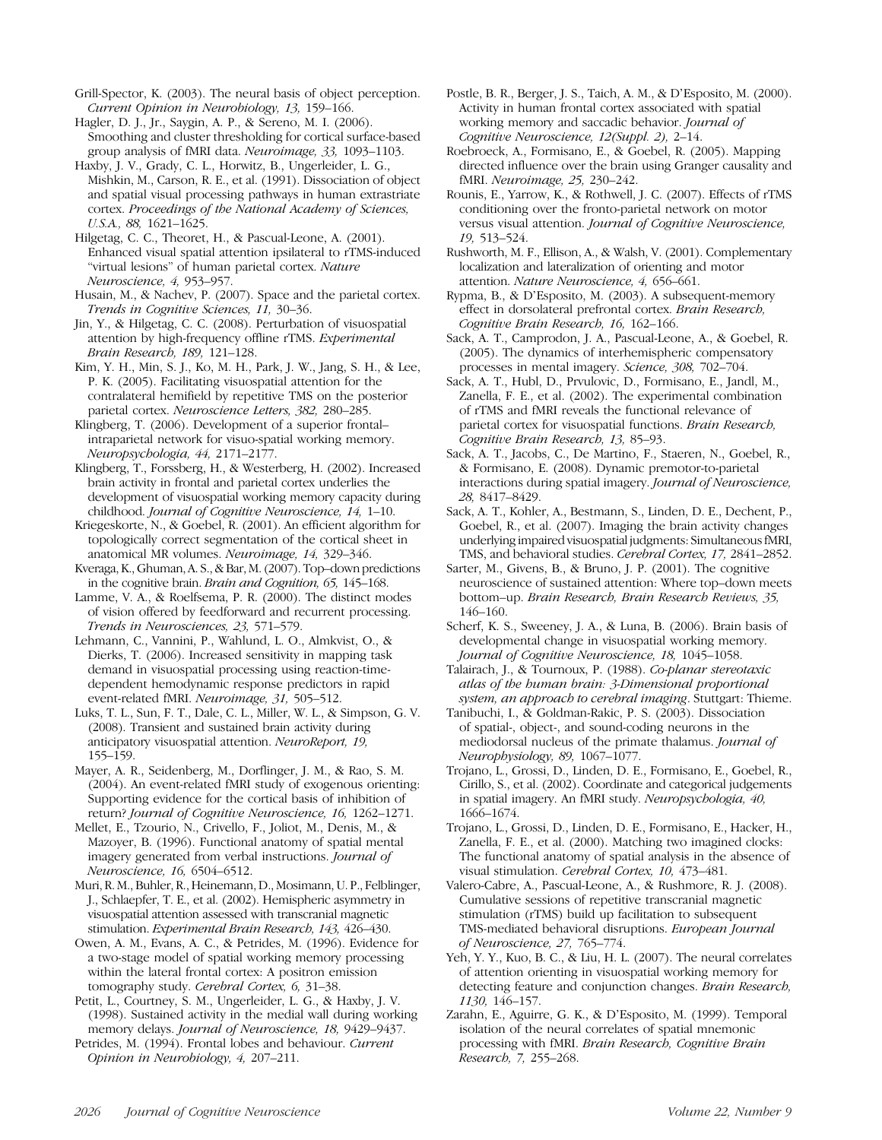Grill-Spector, K. (2003). The neural basis of object perception. Current Opinion in Neurobiology, 13, 159–166.

Hagler, D. J., Jr., Saygin, A. P., & Sereno, M. I. (2006). Smoothing and cluster thresholding for cortical surface-based group analysis of fMRI data. Neuroimage, 33, 1093–1103.

Haxby, J. V., Grady, C. L., Horwitz, B., Ungerleider, L. G., Mishkin, M., Carson, R. E., et al. (1991). Dissociation of object and spatial visual processing pathways in human extrastriate cortex. Proceedings of the National Academy of Sciences, U.S.A., 88, 1621–1625.

Hilgetag, C. C., Theoret, H., & Pascual-Leone, A. (2001). Enhanced visual spatial attention ipsilateral to rTMS-induced "virtual lesions" of human parietal cortex. Nature Neuroscience, 4, 953–957.

Husain, M., & Nachev, P. (2007). Space and the parietal cortex. Trends in Cognitive Sciences, 11, 30–36.

Jin, Y., & Hilgetag, C. C. (2008). Perturbation of visuospatial attention by high-frequency offline rTMS. Experimental Brain Research, 189, 121–128.

Kim, Y. H., Min, S. J., Ko, M. H., Park, J. W., Jang, S. H., & Lee, P. K. (2005). Facilitating visuospatial attention for the contralateral hemifield by repetitive TMS on the posterior parietal cortex. Neuroscience Letters, 382, 280–285.

Klingberg, T. (2006). Development of a superior frontal– intraparietal network for visuo-spatial working memory. Neuropsychologia, 44, 2171–2177.

Klingberg, T., Forssberg, H., & Westerberg, H. (2002). Increased brain activity in frontal and parietal cortex underlies the development of visuospatial working memory capacity during childhood. Journal of Cognitive Neuroscience, 14, 1–10.

Kriegeskorte, N., & Goebel, R. (2001). An efficient algorithm for topologically correct segmentation of the cortical sheet in anatomical MR volumes. Neuroimage, 14, 329–346.

Kveraga, K., Ghuman, A. S., & Bar, M. (2007). Top–down predictions in the cognitive brain. Brain and Cognition, 65, 145–168.

Lamme, V. A., & Roelfsema, P. R. (2000). The distinct modes of vision offered by feedforward and recurrent processing. Trends in Neurosciences, 23, 571–579.

Lehmann, C., Vannini, P., Wahlund, L. O., Almkvist, O., & Dierks, T. (2006). Increased sensitivity in mapping task demand in visuospatial processing using reaction-timedependent hemodynamic response predictors in rapid event-related fMRI. Neuroimage, 31, 505–512.

Luks, T. L., Sun, F. T., Dale, C. L., Miller, W. L., & Simpson, G. V. (2008). Transient and sustained brain activity during anticipatory visuospatial attention. NeuroReport, 19, 155–159.

Mayer, A. R., Seidenberg, M., Dorflinger, J. M., & Rao, S. M. (2004). An event-related fMRI study of exogenous orienting: Supporting evidence for the cortical basis of inhibition of return? Journal of Cognitive Neuroscience, 16, 1262–1271.

Mellet, E., Tzourio, N., Crivello, F., Joliot, M., Denis, M., & Mazoyer, B. (1996). Functional anatomy of spatial mental imagery generated from verbal instructions. Journal of Neuroscience, 16, 6504–6512.

Muri, R. M., Buhler, R., Heinemann, D., Mosimann, U. P., Felblinger, J., Schlaepfer, T. E., et al. (2002). Hemispheric asymmetry in visuospatial attention assessed with transcranial magnetic stimulation. Experimental Brain Research, 143, 426–430.

Owen, A. M., Evans, A. C., & Petrides, M. (1996). Evidence for a two-stage model of spatial working memory processing within the lateral frontal cortex: A positron emission tomography study. Cerebral Cortex, 6, 31–38.

Petit, L., Courtney, S. M., Ungerleider, L. G., & Haxby, J. V. (1998). Sustained activity in the medial wall during working memory delays. Journal of Neuroscience, 18, 9429-9437.

Petrides, M. (1994). Frontal lobes and behaviour. Current Opinion in Neurobiology, 4, 207–211.

Postle, B. R., Berger, J. S., Taich, A. M., & D'Esposito, M. (2000). Activity in human frontal cortex associated with spatial working memory and saccadic behavior. Journal of Cognitive Neuroscience, 12(Suppl. 2), 2–14.

Roebroeck, A., Formisano, E., & Goebel, R. (2005). Mapping directed influence over the brain using Granger causality and fMRI. Neuroimage, 25, 230–242.

Rounis, E., Yarrow, K., & Rothwell, J. C. (2007). Effects of rTMS conditioning over the fronto-parietal network on motor versus visual attention. Journal of Cognitive Neuroscience, 19, 513–524.

Rushworth, M. F., Ellison, A., & Walsh, V. (2001). Complementary localization and lateralization of orienting and motor attention. Nature Neuroscience, 4, 656–661.

Rypma, B., & D'Esposito, M. (2003). A subsequent-memory effect in dorsolateral prefrontal cortex. Brain Research, Cognitive Brain Research, 16, 162–166.

Sack, A. T., Camprodon, J. A., Pascual-Leone, A., & Goebel, R. (2005). The dynamics of interhemispheric compensatory processes in mental imagery. Science, 308, 702–704.

Sack, A. T., Hubl, D., Prvulovic, D., Formisano, E., Jandl, M., Zanella, F. E., et al. (2002). The experimental combination of rTMS and fMRI reveals the functional relevance of parietal cortex for visuospatial functions. Brain Research, Cognitive Brain Research, 13, 85–93.

Sack, A. T., Jacobs, C., De Martino, F., Staeren, N., Goebel, R., & Formisano, E. (2008). Dynamic premotor-to-parietal interactions during spatial imagery. Journal of Neuroscience, 28, 8417–8429.

Sack, A. T., Kohler, A., Bestmann, S., Linden, D. E., Dechent, P., Goebel, R., et al. (2007). Imaging the brain activity changes underlying impaired visuospatial judgments: Simultaneous fMRI, TMS, and behavioral studies. Cerebral Cortex, 17, 2841–2852.

Sarter, M., Givens, B., & Bruno, J. P. (2001). The cognitive neuroscience of sustained attention: Where top–down meets bottom–up. Brain Research, Brain Research Reviews, 35, 146–160.

Scherf, K. S., Sweeney, J. A., & Luna, B. (2006). Brain basis of developmental change in visuospatial working memory. Journal of Cognitive Neuroscience, 18, 1045–1058.

Talairach, J., & Tournoux, P. (1988). Co-planar stereotaxic atlas of the human brain: 3-Dimensional proportional system, an approach to cerebral imaging. Stuttgart: Thieme.

Tanibuchi, I., & Goldman-Rakic, P. S. (2003). Dissociation of spatial-, object-, and sound-coding neurons in the mediodorsal nucleus of the primate thalamus. Journal of Neurophysiology, 89, 1067–1077.

Trojano, L., Grossi, D., Linden, D. E., Formisano, E., Goebel, R., Cirillo, S., et al. (2002). Coordinate and categorical judgements in spatial imagery. An fMRI study. Neuropsychologia, 40, 1666–1674.

Trojano, L., Grossi, D., Linden, D. E., Formisano, E., Hacker, H., Zanella, F. E., et al. (2000). Matching two imagined clocks: The functional anatomy of spatial analysis in the absence of visual stimulation. Cerebral Cortex, 10, 473–481.

Valero-Cabre, A., Pascual-Leone, A., & Rushmore, R. J. (2008). Cumulative sessions of repetitive transcranial magnetic stimulation (rTMS) build up facilitation to subsequent TMS-mediated behavioral disruptions. European Journal of Neuroscience, 27, 765–774.

Yeh, Y. Y., Kuo, B. C., & Liu, H. L. (2007). The neural correlates of attention orienting in visuospatial working memory for detecting feature and conjunction changes. Brain Research, 1130, 146–157.

Zarahn, E., Aguirre, G. K., & D'Esposito, M. (1999). Temporal isolation of the neural correlates of spatial mnemonic processing with fMRI. Brain Research, Cognitive Brain Research, 7, 255–268.